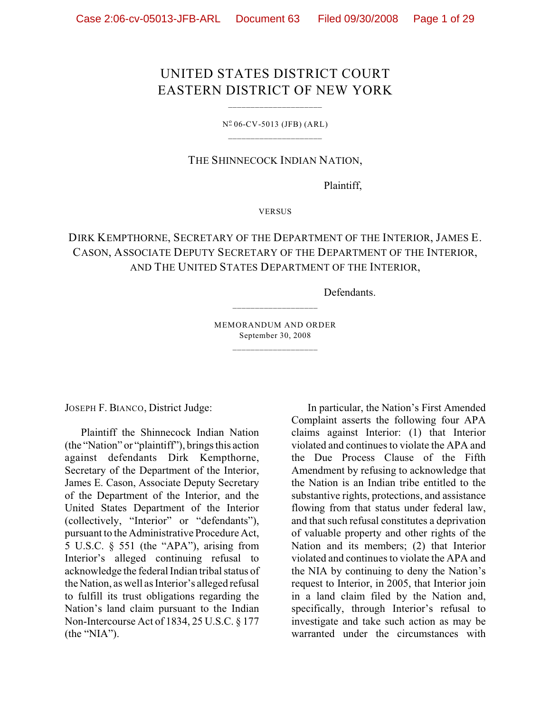# UNITED STATES DISTRICT COURT EASTERN DISTRICT OF NEW YORK

\_\_\_\_\_\_\_\_\_\_\_\_\_\_\_\_\_\_\_\_\_

 $N^{\circ}$  06-CV-5013 (JFB) (ARL) \_\_\_\_\_\_\_\_\_\_\_\_\_\_\_\_\_\_\_\_\_

## THE SHINNECOCK INDIAN NATION,

Plaintiff,

VERSUS

# DIRK KEMPTHORNE, SECRETARY OF THE DEPARTMENT OF THE INTERIOR, JAMES E. CASON, ASSOCIATE DEPUTY SECRETARY OF THE DEPARTMENT OF THE INTERIOR, AND THE UNITED STATES DEPARTMENT OF THE INTERIOR,

Defendants.

MEMORANDUM AND ORDER September 30, 2008 \_\_\_\_\_\_\_\_\_\_\_\_\_\_\_\_\_\_\_

\_\_\_\_\_\_\_\_\_\_\_\_\_\_\_\_\_\_\_

JOSEPH F. BIANCO, District Judge:

Plaintiff the Shinnecock Indian Nation (the "Nation" or "plaintiff"), brings this action against defendants Dirk Kempthorne, Secretary of the Department of the Interior, James E. Cason, Associate Deputy Secretary of the Department of the Interior, and the United States Department of the Interior (collectively, "Interior" or "defendants"), pursuant to the Administrative Procedure Act, 5 U.S.C. § 551 (the "APA"), arising from Interior's alleged continuing refusal to acknowledge the federal Indian tribal status of the Nation, as well as Interior's alleged refusal to fulfill its trust obligations regarding the Nation's land claim pursuant to the Indian Non-Intercourse Act of 1834, 25 U.S.C. § 177 (the "NIA").

In particular, the Nation's First Amended Complaint asserts the following four APA claims against Interior: (1) that Interior violated and continues to violate the APA and the Due Process Clause of the Fifth Amendment by refusing to acknowledge that the Nation is an Indian tribe entitled to the substantive rights, protections, and assistance flowing from that status under federal law, and that such refusal constitutes a deprivation of valuable property and other rights of the Nation and its members; (2) that Interior violated and continues to violate the APA and the NIA by continuing to deny the Nation's request to Interior, in 2005, that Interior join in a land claim filed by the Nation and, specifically, through Interior's refusal to investigate and take such action as may be warranted under the circumstances with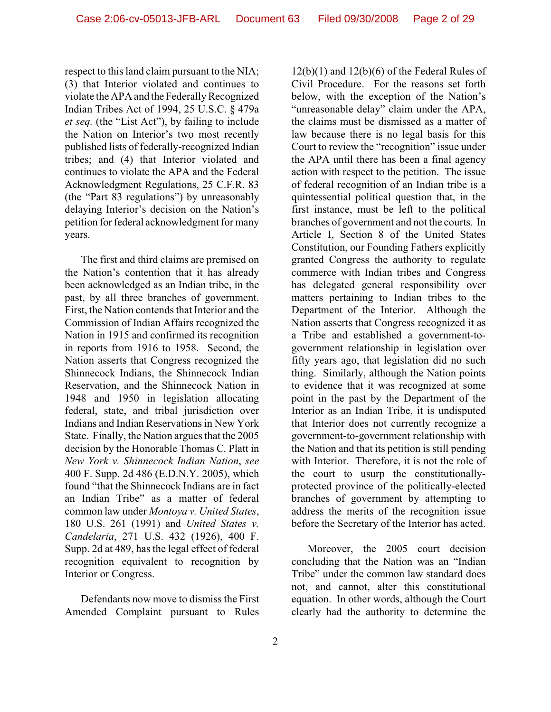respect to this land claim pursuant to the NIA; (3) that Interior violated and continues to violate the APA and the Federally Recognized Indian Tribes Act of 1994, 25 U.S.C. § 479a *et seq.* (the "List Act"), by failing to include the Nation on Interior's two most recently published lists of federally-recognized Indian tribes; and (4) that Interior violated and continues to violate the APA and the Federal Acknowledgment Regulations, 25 C.F.R. 83 (the "Part 83 regulations") by unreasonably delaying Interior's decision on the Nation's petition for federal acknowledgment for many years.

The first and third claims are premised on the Nation's contention that it has already been acknowledged as an Indian tribe, in the past, by all three branches of government. First, the Nation contends that Interior and the Commission of Indian Affairs recognized the Nation in 1915 and confirmed its recognition in reports from 1916 to 1958. Second, the Nation asserts that Congress recognized the Shinnecock Indians, the Shinnecock Indian Reservation, and the Shinnecock Nation in 1948 and 1950 in legislation allocating federal, state, and tribal jurisdiction over Indians and Indian Reservations in New York State. Finally, the Nation argues that the 2005 decision by the Honorable Thomas C. Platt in *New York v. Shinnecock Indian Nation*, *see* 400 F. Supp. 2d 486 (E.D.N.Y. 2005), which found "that the Shinnecock Indians are in fact an Indian Tribe" as a matter of federal common law under *Montoya v. United States*, 180 U.S. 261 (1991) and *United States v. Candelaria*, 271 U.S. 432 (1926), 400 F. Supp. 2d at 489, has the legal effect of federal recognition equivalent to recognition by Interior or Congress.

Defendants now move to dismiss the First Amended Complaint pursuant to Rules 12(b)(1) and 12(b)(6) of the Federal Rules of Civil Procedure. For the reasons set forth below, with the exception of the Nation's "unreasonable delay" claim under the APA, the claims must be dismissed as a matter of law because there is no legal basis for this Court to review the "recognition" issue under the APA until there has been a final agency action with respect to the petition. The issue of federal recognition of an Indian tribe is a quintessential political question that, in the first instance, must be left to the political branches of government and not the courts. In Article I, Section 8 of the United States Constitution, our Founding Fathers explicitly granted Congress the authority to regulate commerce with Indian tribes and Congress has delegated general responsibility over matters pertaining to Indian tribes to the Department of the Interior. Although the Nation asserts that Congress recognized it as a Tribe and established a government-togovernment relationship in legislation over fifty years ago, that legislation did no such thing. Similarly, although the Nation points to evidence that it was recognized at some point in the past by the Department of the Interior as an Indian Tribe, it is undisputed that Interior does not currently recognize a government-to-government relationship with the Nation and that its petition is still pending with Interior. Therefore, it is not the role of the court to usurp the constitutionallyprotected province of the politically-elected branches of government by attempting to address the merits of the recognition issue before the Secretary of the Interior has acted.

Moreover, the 2005 court decision concluding that the Nation was an "Indian Tribe" under the common law standard does not, and cannot, alter this constitutional equation. In other words, although the Court clearly had the authority to determine the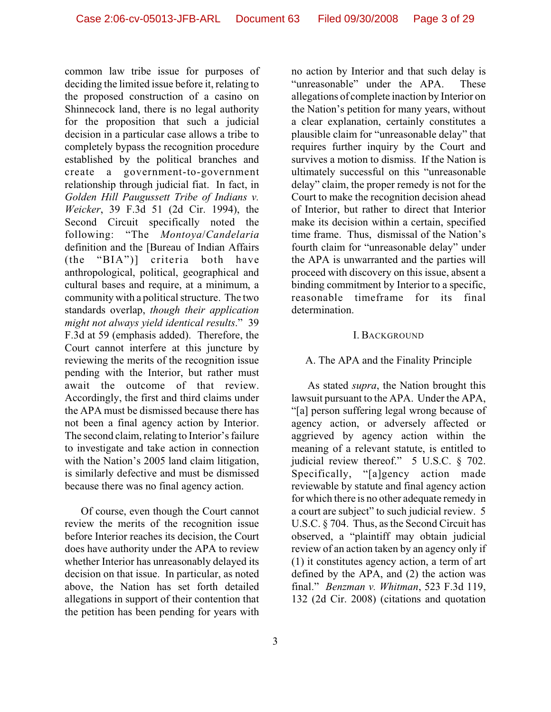common law tribe issue for purposes of deciding the limited issue before it, relating to the proposed construction of a casino on Shinnecock land, there is no legal authority for the proposition that such a judicial decision in a particular case allows a tribe to completely bypass the recognition procedure established by the political branches and create a government-to-government relationship through judicial fiat. In fact, in *Golden Hill Paugussett Tribe of Indians v. Weicker*, 39 F.3d 51 (2d Cir. 1994), the Second Circuit specifically noted the following: "The *Montoya*/*Candelaria* definition and the [Bureau of Indian Affairs (the "BIA")] criteria both have anthropological, political, geographical and cultural bases and require, at a minimum, a community with a political structure. The two standards overlap, *though their application might not always yield identical results*." 39 F.3d at 59 (emphasis added). Therefore, the Court cannot interfere at this juncture by reviewing the merits of the recognition issue pending with the Interior, but rather must await the outcome of that review. Accordingly, the first and third claims under the APA must be dismissed because there has not been a final agency action by Interior. The second claim, relating to Interior's failure to investigate and take action in connection with the Nation's 2005 land claim litigation, is similarly defective and must be dismissed because there was no final agency action.

Of course, even though the Court cannot review the merits of the recognition issue before Interior reaches its decision, the Court does have authority under the APA to review whether Interior has unreasonably delayed its decision on that issue. In particular, as noted above, the Nation has set forth detailed allegations in support of their contention that the petition has been pending for years with no action by Interior and that such delay is "unreasonable" under the APA. These allegations of complete inaction by Interior on the Nation's petition for many years, without a clear explanation, certainly constitutes a plausible claim for "unreasonable delay" that requires further inquiry by the Court and survives a motion to dismiss. If the Nation is ultimately successful on this "unreasonable delay" claim, the proper remedy is not for the Court to make the recognition decision ahead of Interior, but rather to direct that Interior make its decision within a certain, specified time frame. Thus, dismissal of the Nation's fourth claim for "unreasonable delay" under the APA is unwarranted and the parties will proceed with discovery on this issue, absent a binding commitment by Interior to a specific, reasonable timeframe for its final determination.

#### I. BACKGROUND

## A. The APA and the Finality Principle

As stated *supra*, the Nation brought this lawsuit pursuant to the APA. Under the APA, "[a] person suffering legal wrong because of agency action, or adversely affected or aggrieved by agency action within the meaning of a relevant statute, is entitled to judicial review thereof." 5 U.S.C. § 702. Specifically, "[a]gency action made reviewable by statute and final agency action for which there is no other adequate remedy in a court are subject" to such judicial review. 5 U.S.C. § 704. Thus, as the Second Circuit has observed, a "plaintiff may obtain judicial review of an action taken by an agency only if (1) it constitutes agency action, a term of art defined by the APA, and (2) the action was final." *Benzman v. Whitman*, 523 F.3d 119, 132 (2d Cir. 2008) (citations and quotation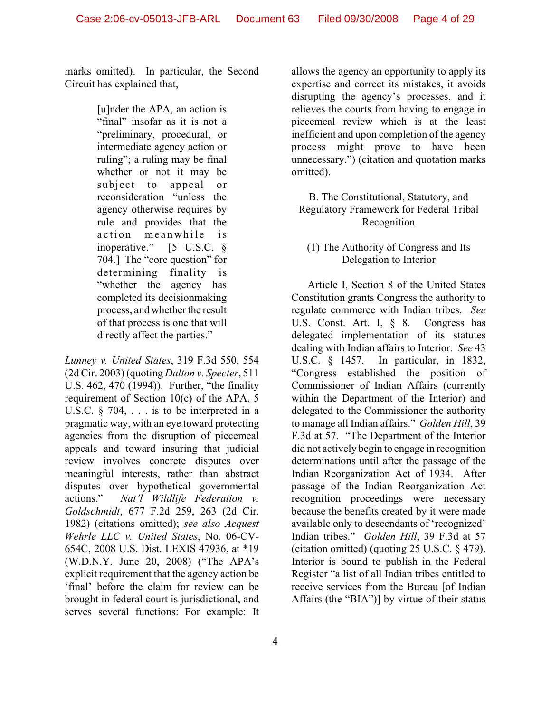marks omitted). In particular, the Second Circuit has explained that,

> [u]nder the APA, an action is "final" insofar as it is not a "preliminary, procedural, or intermediate agency action or ruling"; a ruling may be final whether or not it may be subject to appeal or reconsideration "unless the agency otherwise requires by rule and provides that the action meanwhile is inoperative." [5 U.S.C. § 704.] The "core question" for determining finality is "whether the agency has completed its decisionmaking process, and whether the result of that process is one that will directly affect the parties."

*Lunney v. United States*, 319 F.3d 550, 554 (2d Cir. 2003) (quoting *Dalton v. Specter*, 511 U.S. 462, 470 (1994)). Further, "the finality requirement of Section 10(c) of the APA, 5 U.S.C.  $\&$  704, ... is to be interpreted in a pragmatic way, with an eye toward protecting agencies from the disruption of piecemeal appeals and toward insuring that judicial review involves concrete disputes over meaningful interests, rather than abstract disputes over hypothetical governmental actions." *Nat'l Wildlife Federation v. Goldschmidt*, 677 F.2d 259, 263 (2d Cir. 1982) (citations omitted); *see also Acquest Wehrle LLC v. United States*, No. 06-CV-654C, 2008 U.S. Dist. LEXIS 47936, at \*19 (W.D.N.Y. June 20, 2008) ("The APA's explicit requirement that the agency action be 'final' before the claim for review can be brought in federal court is jurisdictional, and serves several functions: For example: It

allows the agency an opportunity to apply its expertise and correct its mistakes, it avoids disrupting the agency's processes, and it relieves the courts from having to engage in piecemeal review which is at the least inefficient and upon completion of the agency process might prove to have been unnecessary.") (citation and quotation marks omitted).

B. The Constitutional, Statutory, and Regulatory Framework for Federal Tribal Recognition

(1) The Authority of Congress and Its Delegation to Interior

Article I, Section 8 of the United States Constitution grants Congress the authority to regulate commerce with Indian tribes. *See* U.S. Const. Art. I, § 8. Congress has delegated implementation of its statutes dealing with Indian affairs to Interior. *See* 43 U.S.C. § 1457. In particular, in 1832, "Congress established the position of Commissioner of Indian Affairs (currently within the Department of the Interior) and delegated to the Commissioner the authority to manage all Indian affairs." *Golden Hill*, 39 F.3d at 57. "The Department of the Interior did not actively begin to engage in recognition determinations until after the passage of the Indian Reorganization Act of 1934. After passage of the Indian Reorganization Act recognition proceedings were necessary because the benefits created by it were made available only to descendants of 'recognized' Indian tribes." *Golden Hill*, 39 F.3d at 57 (citation omitted) (quoting 25 U.S.C. § 479). Interior is bound to publish in the Federal Register "a list of all Indian tribes entitled to receive services from the Bureau [of Indian Affairs (the "BIA")] by virtue of their status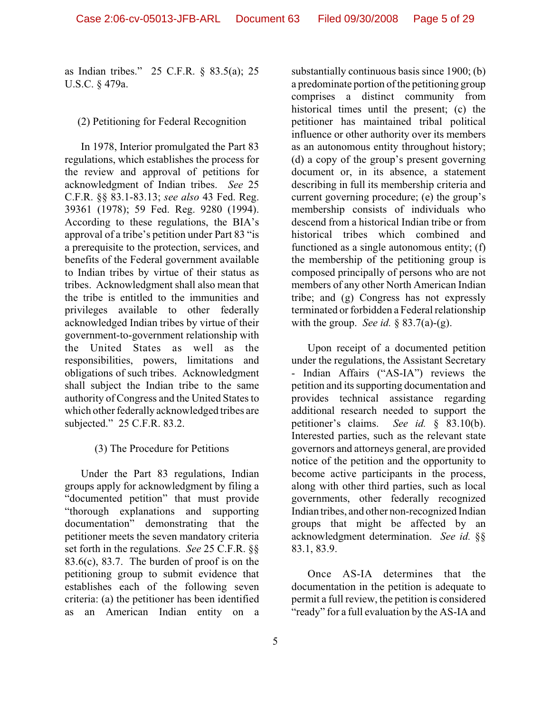as Indian tribes." 25 C.F.R. § 83.5(a); 25 U.S.C. § 479a.

## (2) Petitioning for Federal Recognition

In 1978, Interior promulgated the Part 83 regulations, which establishes the process for the review and approval of petitions for acknowledgment of Indian tribes. *See* 25 C.F.R. §§ 83.1-83.13; *see also* 43 Fed. Reg. 39361 (1978); 59 Fed. Reg. 9280 (1994). According to these regulations, the BIA's approval of a tribe's petition under Part 83 "is a prerequisite to the protection, services, and benefits of the Federal government available to Indian tribes by virtue of their status as tribes. Acknowledgment shall also mean that the tribe is entitled to the immunities and privileges available to other federally acknowledged Indian tribes by virtue of their government-to-government relationship with the United States as well as the responsibilities, powers, limitations and obligations of such tribes. Acknowledgment shall subject the Indian tribe to the same authority of Congress and the United States to which other federally acknowledged tribes are subjected." 25 C.F.R. 83.2.

# (3) The Procedure for Petitions

Under the Part 83 regulations, Indian groups apply for acknowledgment by filing a "documented petition" that must provide "thorough explanations and supporting documentation" demonstrating that the petitioner meets the seven mandatory criteria set forth in the regulations. *See* 25 C.F.R. §§  $83.6(c)$ ,  $83.7$ . The burden of proof is on the petitioning group to submit evidence that establishes each of the following seven criteria: (a) the petitioner has been identified as an American Indian entity on a

substantially continuous basis since 1900; (b) a predominate portion of the petitioning group comprises a distinct community from historical times until the present; (c) the petitioner has maintained tribal political influence or other authority over its members as an autonomous entity throughout history; (d) a copy of the group's present governing document or, in its absence, a statement describing in full its membership criteria and current governing procedure; (e) the group's membership consists of individuals who descend from a historical Indian tribe or from historical tribes which combined and functioned as a single autonomous entity; (f) the membership of the petitioning group is composed principally of persons who are not members of any other North American Indian tribe; and (g) Congress has not expressly terminated or forbidden a Federal relationship with the group. *See id.* § 83.7(a)-(g).

Upon receipt of a documented petition under the regulations, the Assistant Secretary - Indian Affairs ("AS-IA") reviews the petition and its supporting documentation and provides technical assistance regarding additional research needed to support the petitioner's claims. *See id.* § 83.10(b). Interested parties, such as the relevant state governors and attorneys general, are provided notice of the petition and the opportunity to become active participants in the process, along with other third parties, such as local governments, other federally recognized Indian tribes, and other non-recognized Indian groups that might be affected by an acknowledgment determination. *See id.* §§ 83.1, 83.9.

Once AS-IA determines that the documentation in the petition is adequate to permit a full review, the petition is considered "ready" for a full evaluation by the AS-IA and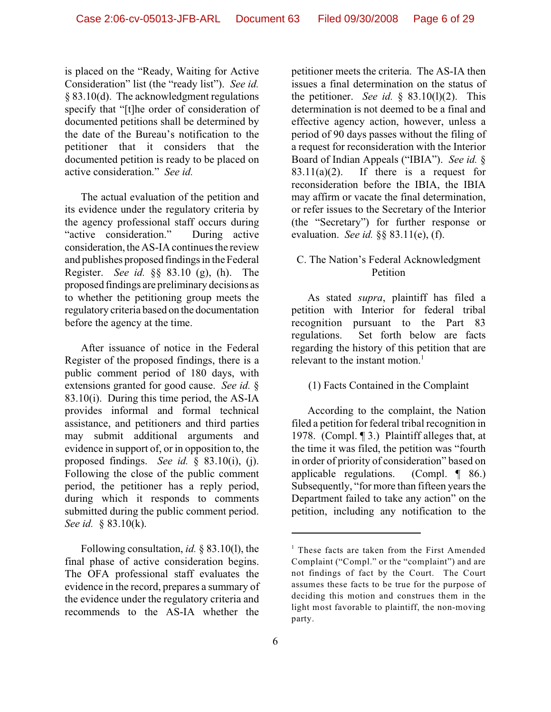is placed on the "Ready, Waiting for Active Consideration" list (the "ready list"). *See id.* § 83.10(d). The acknowledgment regulations specify that "[t]he order of consideration of documented petitions shall be determined by the date of the Bureau's notification to the petitioner that it considers that the documented petition is ready to be placed on active consideration." *See id.*

The actual evaluation of the petition and its evidence under the regulatory criteria by the agency professional staff occurs during "active consideration." During active consideration, the AS-IA continues the review and publishes proposed findings in the Federal Register. *See id.* §§ 83.10 (g), (h). The proposed findings are preliminary decisions as to whether the petitioning group meets the regulatory criteria based on the documentation before the agency at the time.

After issuance of notice in the Federal Register of the proposed findings, there is a public comment period of 180 days, with extensions granted for good cause. *See id.* § 83.10(i). During this time period, the AS-IA provides informal and formal technical assistance, and petitioners and third parties may submit additional arguments and evidence in support of, or in opposition to, the proposed findings. *See id.* § 83.10(i), (j). Following the close of the public comment period, the petitioner has a reply period, during which it responds to comments submitted during the public comment period. *See id.* § 83.10(k).

Following consultation, *id.* § 83.10(l), the final phase of active consideration begins. The OFA professional staff evaluates the evidence in the record, prepares a summary of the evidence under the regulatory criteria and recommends to the AS-IA whether the

petitioner meets the criteria. The AS-IA then issues a final determination on the status of the petitioner. *See id.*  $\S$  83.10(1)(2). This determination is not deemed to be a final and effective agency action, however, unless a period of 90 days passes without the filing of a request for reconsideration with the Interior Board of Indian Appeals ("IBIA"). *See id.* §  $83.11(a)(2)$ . If there is a request for reconsideration before the IBIA, the IBIA may affirm or vacate the final determination, or refer issues to the Secretary of the Interior (the "Secretary") for further response or evaluation. *See id.* §§ 83.11(e), (f).

## C. The Nation's Federal Acknowledgment Petition

As stated *supra*, plaintiff has filed a petition with Interior for federal tribal recognition pursuant to the Part 83 regulations. Set forth below are facts regarding the history of this petition that are relevant to the instant motion.<sup>1</sup>

(1) Facts Contained in the Complaint

According to the complaint, the Nation filed a petition for federal tribal recognition in 1978. (Compl. ¶ 3.) Plaintiff alleges that, at the time it was filed, the petition was "fourth in order of priority of consideration" based on applicable regulations. (Compl. ¶ 86.) Subsequently, "for more than fifteen years the Department failed to take any action" on the petition, including any notification to the

 $1$  These facts are taken from the First Amended Complaint ("Compl." or the "complaint") and are not findings of fact by the Court. The Court assumes these facts to be true for the purpose of deciding this motion and construes them in the light most favorable to plaintiff, the non-moving party.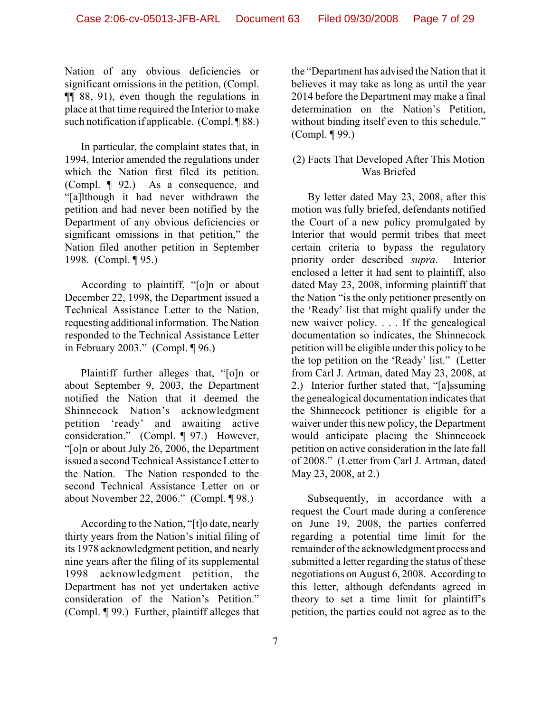Nation of any obvious deficiencies or significant omissions in the petition, (Compl. ¶¶ 88, 91), even though the regulations in place at that time required the Interior to make such notification if applicable. (Compl. ¶ 88.)

In particular, the complaint states that, in 1994, Interior amended the regulations under which the Nation first filed its petition. (Compl. ¶ 92.) As a consequence, and "[a]lthough it had never withdrawn the petition and had never been notified by the Department of any obvious deficiencies or significant omissions in that petition," the Nation filed another petition in September 1998. (Compl. ¶ 95.)

According to plaintiff, "[o]n or about December 22, 1998, the Department issued a Technical Assistance Letter to the Nation, requesting additional information. The Nation responded to the Technical Assistance Letter in February 2003." (Compl. ¶ 96.)

Plaintiff further alleges that, "[o]n or about September 9, 2003, the Department notified the Nation that it deemed the Shinnecock Nation's acknowledgment petition 'ready' and awaiting active consideration." (Compl. ¶ 97.) However, "[o]n or about July 26, 2006, the Department issued a second Technical Assistance Letter to the Nation. The Nation responded to the second Technical Assistance Letter on or about November 22, 2006." (Compl. ¶ 98.)

According to the Nation, "[t]o date, nearly thirty years from the Nation's initial filing of its 1978 acknowledgment petition, and nearly nine years after the filing of its supplemental 1998 acknowledgment petition, the Department has not yet undertaken active consideration of the Nation's Petition." (Compl. ¶ 99.) Further, plaintiff alleges that

the "Department has advised the Nation that it believes it may take as long as until the year 2014 before the Department may make a final determination on the Nation's Petition, without binding itself even to this schedule." (Compl. ¶ 99.)

# (2) Facts That Developed After This Motion Was Briefed

By letter dated May 23, 2008, after this motion was fully briefed, defendants notified the Court of a new policy promulgated by Interior that would permit tribes that meet certain criteria to bypass the regulatory priority order described *supra*. Interior enclosed a letter it had sent to plaintiff, also dated May 23, 2008, informing plaintiff that the Nation "is the only petitioner presently on the 'Ready' list that might qualify under the new waiver policy. . . . If the genealogical documentation so indicates, the Shinnecock petition will be eligible under this policy to be the top petition on the 'Ready' list." (Letter from Carl J. Artman, dated May 23, 2008, at 2.) Interior further stated that, "[a]ssuming the genealogical documentation indicates that the Shinnecock petitioner is eligible for a waiver under this new policy, the Department would anticipate placing the Shinnecock petition on active consideration in the late fall of 2008." (Letter from Carl J. Artman, dated May 23, 2008, at 2.)

Subsequently, in accordance with a request the Court made during a conference on June 19, 2008, the parties conferred regarding a potential time limit for the remainder of the acknowledgment process and submitted a letter regarding the status of these negotiations on August 6, 2008. According to this letter, although defendants agreed in theory to set a time limit for plaintiff's petition, the parties could not agree as to the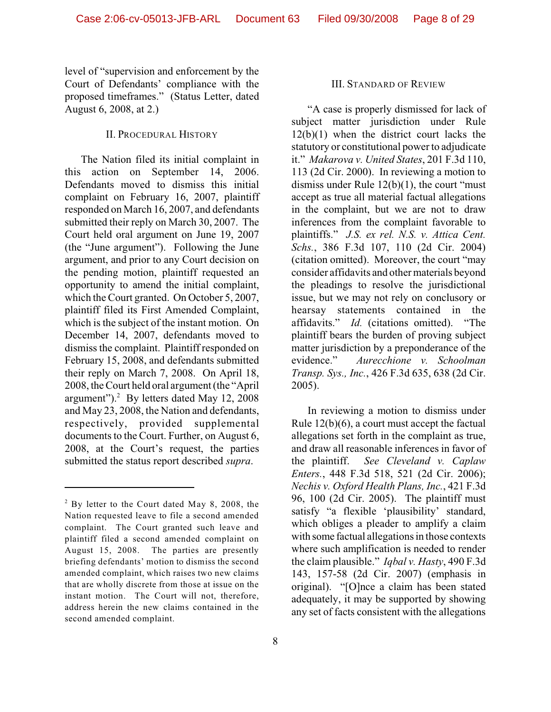level of "supervision and enforcement by the Court of Defendants' compliance with the proposed timeframes." (Status Letter, dated August 6, 2008, at 2.)

#### II. PROCEDURAL HISTORY

The Nation filed its initial complaint in this action on September 14, 2006. Defendants moved to dismiss this initial complaint on February 16, 2007, plaintiff responded on March 16, 2007, and defendants submitted their reply on March 30, 2007. The Court held oral argument on June 19, 2007 (the "June argument"). Following the June argument, and prior to any Court decision on the pending motion, plaintiff requested an opportunity to amend the initial complaint, which the Court granted. On October 5, 2007, plaintiff filed its First Amended Complaint, which is the subject of the instant motion. On December 14, 2007, defendants moved to dismiss the complaint. Plaintiff responded on February 15, 2008, and defendants submitted their reply on March 7, 2008. On April 18, 2008, the Court held oral argument (the "April argument").<sup>2</sup> By letters dated May 12, 2008 and May 23, 2008, the Nation and defendants, respectively, provided supplemental documents to the Court. Further, on August 6, 2008, at the Court's request, the parties submitted the status report described *supra*.

#### III. STANDARD OF REVIEW

"A case is properly dismissed for lack of subject matter jurisdiction under Rule 12(b)(1) when the district court lacks the statutory or constitutional power to adjudicate it." *Makarova v. United States*, 201 F.3d 110, 113 (2d Cir. 2000). In reviewing a motion to dismiss under Rule 12(b)(1), the court "must accept as true all material factual allegations in the complaint, but we are not to draw inferences from the complaint favorable to plaintiffs." *J.S. ex rel. N.S. v. Attica Cent. Schs.*, 386 F.3d 107, 110 (2d Cir. 2004) (citation omitted). Moreover, the court "may consider affidavits and other materials beyond the pleadings to resolve the jurisdictional issue, but we may not rely on conclusory or hearsay statements contained in the affidavits." *Id.* (citations omitted). "The plaintiff bears the burden of proving subject matter jurisdiction by a preponderance of the evidence." *Aurecchione v. Schoolman Transp. Sys., Inc.*, 426 F.3d 635, 638 (2d Cir. 2005).

In reviewing a motion to dismiss under Rule 12(b)(6), a court must accept the factual allegations set forth in the complaint as true, and draw all reasonable inferences in favor of the plaintiff. *See Cleveland v. Caplaw Enters.*, 448 F.3d 518, 521 (2d Cir. 2006); *Nechis v. Oxford Health Plans, Inc.*, 421 F.3d 96, 100 (2d Cir. 2005). The plaintiff must satisfy "a flexible 'plausibility' standard, which obliges a pleader to amplify a claim with some factual allegations in those contexts where such amplification is needed to render the claim plausible." *Iqbal v. Hasty*, 490 F.3d 143, 157-58 (2d Cir. 2007) (emphasis in original). "[O]nce a claim has been stated adequately, it may be supported by showing any set of facts consistent with the allegations

 $3$  By letter to the Court dated May 8, 2008, the Nation requested leave to file a second amended complaint. The Court granted such leave and plaintiff filed a second amended complaint on August 15, 2008. The parties are presently briefing defendants' motion to dismiss the second amended complaint, which raises two new claims that are wholly discrete from those at issue on the instant motion. The Court will not, therefore, address herein the new claims contained in the second amended complaint.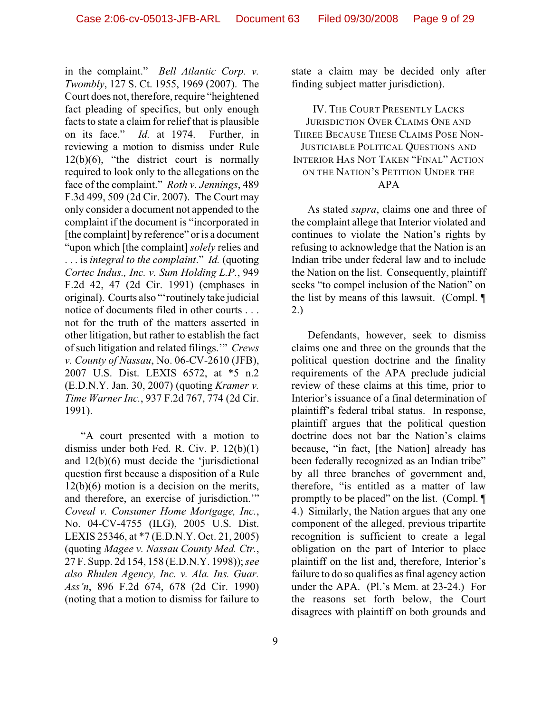in the complaint." *Bell Atlantic Corp. v. Twombly*, 127 S. Ct. 1955, 1969 (2007). The Court does not, therefore, require "heightened fact pleading of specifics, but only enough facts to state a claim for relief that is plausible on its face." *Id.* at 1974. Further, in reviewing a motion to dismiss under Rule  $12(b)(6)$ , "the district court is normally required to look only to the allegations on the face of the complaint." *Roth v. Jennings*, 489 F.3d 499, 509 (2d Cir. 2007). The Court may only consider a document not appended to the complaint if the document is "incorporated in [the complaint] by reference" or is a document "upon which [the complaint] *solely* relies and . . . is *integral to the complaint*." *Id.* (quoting *Cortec Indus., Inc. v. Sum Holding L.P.*, 949 F.2d 42, 47 (2d Cir. 1991) (emphases in original). Courts also "'routinely take judicial notice of documents filed in other courts . . . not for the truth of the matters asserted in other litigation, but rather to establish the fact of such litigation and related filings.'" *Crews v. County of Nassau*, No. 06-CV-2610 (JFB), 2007 U.S. Dist. LEXIS 6572, at \*5 n.2 (E.D.N.Y. Jan. 30, 2007) (quoting *Kramer v. Time Warner Inc.*, 937 F.2d 767, 774 (2d Cir. 1991).

"A court presented with a motion to dismiss under both Fed. R. Civ. P. 12(b)(1) and 12(b)(6) must decide the 'jurisdictional question first because a disposition of a Rule 12(b)(6) motion is a decision on the merits, and therefore, an exercise of jurisdiction.'" *Coveal v. Consumer Home Mortgage, Inc.*, No. 04-CV-4755 (ILG), 2005 U.S. Dist. LEXIS 25346, at \*7 (E.D.N.Y. Oct. 21, 2005) (quoting *Magee v. Nassau County Med. Ctr.*, 27 F. Supp. 2d 154, 158 (E.D.N.Y. 1998)); *see also Rhulen Agency, Inc. v. Ala. Ins. Guar. Ass'n*, 896 F.2d 674, 678 (2d Cir. 1990) (noting that a motion to dismiss for failure to

9

state a claim may be decided only after finding subject matter jurisdiction).

IV. THE COURT PRESENTLY LACKS JURISDICTION OVER CLAIMS ONE AND THREE BECAUSE THESE CLAIMS POSE NON-JUSTICIABLE POLITICAL QUESTIONS AND INTERIOR HAS NOT TAKEN "FINAL" ACTION ON THE NATION'S PETITION UNDER THE APA

As stated *supra*, claims one and three of the complaint allege that Interior violated and continues to violate the Nation's rights by refusing to acknowledge that the Nation is an Indian tribe under federal law and to include the Nation on the list. Consequently, plaintiff seeks "to compel inclusion of the Nation" on the list by means of this lawsuit. (Compl. ¶ 2.)

Defendants, however, seek to dismiss claims one and three on the grounds that the political question doctrine and the finality requirements of the APA preclude judicial review of these claims at this time, prior to Interior's issuance of a final determination of plaintiff's federal tribal status. In response, plaintiff argues that the political question doctrine does not bar the Nation's claims because, "in fact, [the Nation] already has been federally recognized as an Indian tribe" by all three branches of government and, therefore, "is entitled as a matter of law promptly to be placed" on the list. (Compl. ¶ 4.) Similarly, the Nation argues that any one component of the alleged, previous tripartite recognition is sufficient to create a legal obligation on the part of Interior to place plaintiff on the list and, therefore, Interior's failure to do so qualifies as final agency action under the APA. (Pl.'s Mem. at 23-24.) For the reasons set forth below, the Court disagrees with plaintiff on both grounds and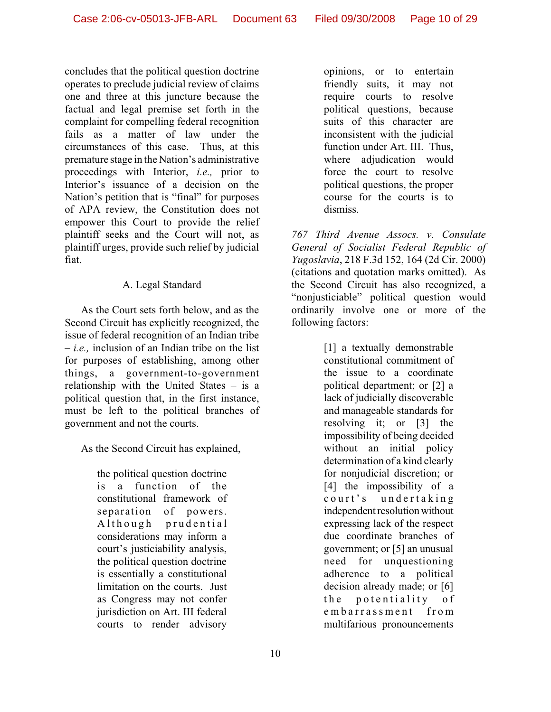concludes that the political question doctrine operates to preclude judicial review of claims one and three at this juncture because the factual and legal premise set forth in the complaint for compelling federal recognition fails as a matter of law under the circumstances of this case. Thus, at this premature stage in the Nation's administrative proceedings with Interior, *i.e.,* prior to Interior's issuance of a decision on the Nation's petition that is "final" for purposes of APA review, the Constitution does not empower this Court to provide the relief plaintiff seeks and the Court will not, as plaintiff urges, provide such relief by judicial fiat.

# A. Legal Standard

As the Court sets forth below, and as the Second Circuit has explicitly recognized, the issue of federal recognition of an Indian tribe – *i.e.,* inclusion of an Indian tribe on the list for purposes of establishing, among other things, a government-to-government relationship with the United States – is a political question that, in the first instance, must be left to the political branches of government and not the courts.

As the Second Circuit has explained,

the political question doctrine is a function of the constitutional framework of separation of powers. Although prudential considerations may inform a court's justiciability analysis, the political question doctrine is essentially a constitutional limitation on the courts. Just as Congress may not confer jurisdiction on Art. III federal courts to render advisory

opinions, or to entertain friendly suits, it may not require courts to resolve political questions, because suits of this character are inconsistent with the judicial function under Art. III. Thus, where adjudication would force the court to resolve political questions, the proper course for the courts is to dismiss.

*767 Third Avenue Assocs. v. Consulate General of Socialist Federal Republic of Yugoslavia*, 218 F.3d 152, 164 (2d Cir. 2000) (citations and quotation marks omitted). As the Second Circuit has also recognized, a "nonjusticiable" political question would ordinarily involve one or more of the following factors:

> [1] a textually demonstrable constitutional commitment of the issue to a coordinate political department; or [2] a lack of judicially discoverable and manageable standards for resolving it; or [3] the impossibility of being decided without an initial policy determination of a kind clearly for nonjudicial discretion; or [4] the impossibility of a court's undertaking independent resolution without expressing lack of the respect due coordinate branches of government; or [5] an unusual need for unquestioning adherence to a political decision already made; or [6] the potentiality of embarrassment from multifarious pronouncements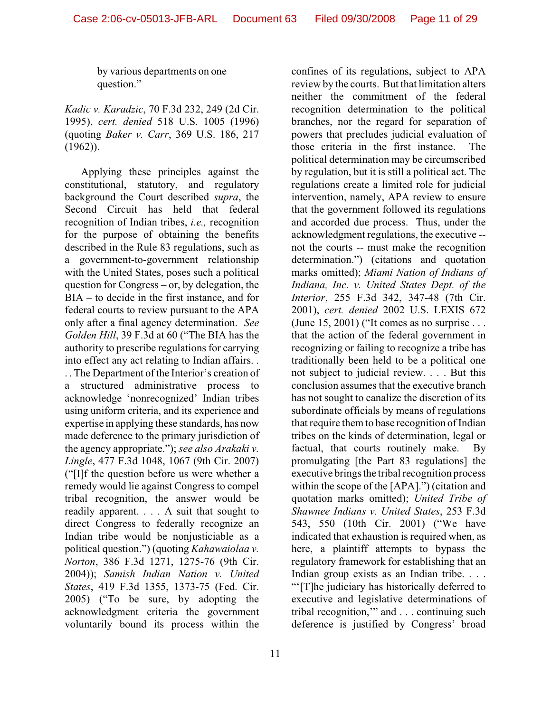by various departments on one question."

*Kadic v. Karadzic*, 70 F.3d 232, 249 (2d Cir. 1995), *cert. denied* 518 U.S. 1005 (1996) (quoting *Baker v. Carr*, 369 U.S. 186, 217 (1962)).

Applying these principles against the constitutional, statutory, and regulatory background the Court described *supra*, the Second Circuit has held that federal recognition of Indian tribes, *i.e.,* recognition for the purpose of obtaining the benefits described in the Rule 83 regulations, such as a government-to-government relationship with the United States, poses such a political question for Congress – or, by delegation, the BIA – to decide in the first instance, and for federal courts to review pursuant to the APA only after a final agency determination. *See Golden Hill*, 39 F.3d at 60 ("The BIA has the authority to prescribe regulations for carrying into effect any act relating to Indian affairs. . . . The Department of the Interior's creation of a structured administrative process to acknowledge 'nonrecognized' Indian tribes using uniform criteria, and its experience and expertise in applying these standards, has now made deference to the primary jurisdiction of the agency appropriate."); *see also Arakaki v. Lingle*, 477 F.3d 1048, 1067 (9th Cir. 2007) ("[I]f the question before us were whether a remedy would lie against Congress to compel tribal recognition, the answer would be readily apparent. . . . A suit that sought to direct Congress to federally recognize an Indian tribe would be nonjusticiable as a political question.") (quoting *Kahawaiolaa v. Norton*, 386 F.3d 1271, 1275-76 (9th Cir. 2004)); *Samish Indian Nation v. United States*, 419 F.3d 1355, 1373-75 (Fed. Cir. 2005) ("To be sure, by adopting the acknowledgment criteria the government voluntarily bound its process within the

confines of its regulations, subject to APA review by the courts. But that limitation alters neither the commitment of the federal recognition determination to the political branches, nor the regard for separation of powers that precludes judicial evaluation of those criteria in the first instance. The political determination may be circumscribed by regulation, but it is still a political act. The regulations create a limited role for judicial intervention, namely, APA review to ensure that the government followed its regulations and accorded due process. Thus, under the acknowledgment regulations, the executive - not the courts -- must make the recognition determination.") (citations and quotation marks omitted); *Miami Nation of Indians of Indiana, Inc. v. United States Dept. of the Interior*, 255 F.3d 342, 347-48 (7th Cir. 2001), *cert. denied* 2002 U.S. LEXIS 672 (June 15, 2001) ("It comes as no surprise . . . that the action of the federal government in recognizing or failing to recognize a tribe has traditionally been held to be a political one not subject to judicial review. . . . But this conclusion assumes that the executive branch has not sought to canalize the discretion of its subordinate officials by means of regulations that require them to base recognition of Indian tribes on the kinds of determination, legal or factual, that courts routinely make. By promulgating [the Part 83 regulations] the executive brings the tribal recognition process within the scope of the [APA].") (citation and quotation marks omitted); *United Tribe of Shawnee Indians v. United States*, 253 F.3d 543, 550 (10th Cir. 2001) ("We have indicated that exhaustion is required when, as here, a plaintiff attempts to bypass the regulatory framework for establishing that an Indian group exists as an Indian tribe. . . . "'[T]he judiciary has historically deferred to executive and legislative determinations of tribal recognition,'" and . . . continuing such deference is justified by Congress' broad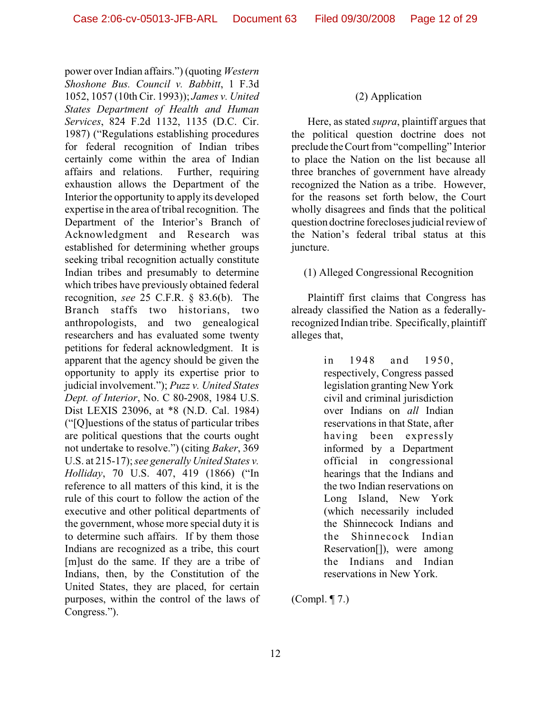power over Indian affairs.") (quoting *Western Shoshone Bus. Council v. Babbitt*, 1 F.3d 1052, 1057 (10th Cir. 1993)); *James v. United States Department of Health and Human Services*, 824 F.2d 1132, 1135 (D.C. Cir. 1987) ("Regulations establishing procedures for federal recognition of Indian tribes certainly come within the area of Indian affairs and relations. Further, requiring exhaustion allows the Department of the Interior the opportunity to apply its developed expertise in the area of tribal recognition. The Department of the Interior's Branch of Acknowledgment and Research was established for determining whether groups seeking tribal recognition actually constitute Indian tribes and presumably to determine which tribes have previously obtained federal recognition, *see* 25 C.F.R. § 83.6(b). The Branch staffs two historians, two anthropologists, and two genealogical researchers and has evaluated some twenty petitions for federal acknowledgment. It is apparent that the agency should be given the opportunity to apply its expertise prior to judicial involvement."); *Puzz v. United States Dept. of Interior*, No. C 80-2908, 1984 U.S. Dist LEXIS 23096, at \*8 (N.D. Cal. 1984) ("[Q]uestions of the status of particular tribes are political questions that the courts ought not undertake to resolve.") (citing *Baker*, 369 U.S. at 215-17); *see generally United States v. Holliday*, 70 U.S. 407, 419 (1866) ("In reference to all matters of this kind, it is the rule of this court to follow the action of the executive and other political departments of the government, whose more special duty it is to determine such affairs. If by them those Indians are recognized as a tribe, this court [m]ust do the same. If they are a tribe of Indians, then, by the Constitution of the United States, they are placed, for certain purposes, within the control of the laws of Congress.").

### (2) Application

Here, as stated *supra*, plaintiff argues that the political question doctrine does not preclude the Court from "compelling" Interior to place the Nation on the list because all three branches of government have already recognized the Nation as a tribe. However, for the reasons set forth below, the Court wholly disagrees and finds that the political question doctrine forecloses judicial review of the Nation's federal tribal status at this juncture.

(1) Alleged Congressional Recognition

Plaintiff first claims that Congress has already classified the Nation as a federallyrecognized Indian tribe. Specifically, plaintiff alleges that,

> in 1948 and 1950, respectively, Congress passed legislation granting New York civil and criminal jurisdiction over Indians on *all* Indian reservations in that State, after having been expressly informed by a Department official in congressional hearings that the Indians and the two Indian reservations on Long Island, New York (which necessarily included the Shinnecock Indians and the Shinnecock Indian Reservation[]), were among the Indians and Indian reservations in New York.

(Compl. ¶ 7.)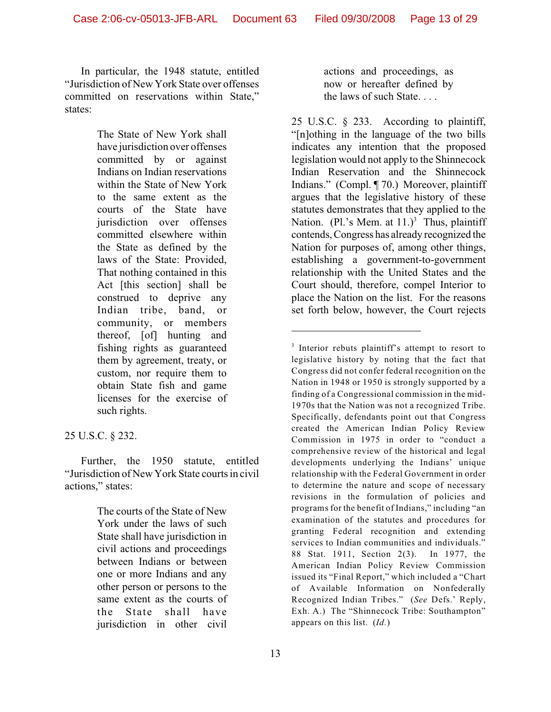In particular, the 1948 statute, entitled "Jurisdiction of New York State over offenses committed on reservations within State," states:

> The State of New York shall have jurisdiction over offenses committed by or against Indians on Indian reservations within the State of New York to the same extent as the courts of the State have jurisdiction over offenses committed elsewhere within the State as defined by the laws of the State: Provided, That nothing contained in this Act [this section] shall be construed to deprive any Indian tribe, band, or community, or members thereof, [of] hunting and fishing rights as guaranteed them by agreement, treaty, or custom, nor require them to obtain State fish and game licenses for the exercise of such rights.

## 25 U.S.C. § 232.

Further, the 1950 statute, entitled "Jurisdiction of New York State courts in civil actions," states:

> The courts of the State of New York under the laws of such State shall have jurisdiction in civil actions and proceedings between Indians or between one or more Indians and any other person or persons to the same extent as the courts of the State shall have jurisdiction in other civil

actions and proceedings, as now or hereafter defined by the laws of such State. . . .

25 U.S.C. § 233. According to plaintiff, "[n]othing in the language of the two bills indicates any intention that the proposed legislation would not apply to the Shinnecock Indian Reservation and the Shinnecock Indians." (Compl. ¶ 70.) Moreover, plaintiff argues that the legislative history of these statutes demonstrates that they applied to the Nation. (Pl.'s Mem. at  $11.$ )<sup>3</sup> Thus, plaintiff contends, Congress has already recognized the Nation for purposes of, among other things, establishing a government-to-government relationship with the United States and the Court should, therefore, compel Interior to place the Nation on the list. For the reasons set forth below, however, the Court rejects

 $3$  Interior rebuts plaintiff's attempt to resort to legislative history by noting that the fact that Congress did not confer federal recognition on the Nation in 1948 or 1950 is strongly supported by a finding of a Congressional commission in the mid-1970s that the Nation was not a recognized Tribe. Specifically, defendants point out that Congress created the American Indian Policy Review Commission in 1975 in order to "conduct a comprehensive review of the historical and legal developments underlying the Indians' unique relationship with the Federal Government in order to determine the nature and scope of necessary revisions in the formulation of policies and programs for the benefit of Indians," including "an examination of the statutes and procedures for granting Federal recognition and extending services to Indian communities and individuals." 88 Stat. 1911, Section 2(3). In 1977, the American Indian Policy Review Commission issued its "Final Report," which included a "Chart of Available Information on Nonfederally Recognized Indian Tribes." (*See* Defs.' Reply, Exh. A.) The "Shinnecock Tribe: Southampton" appears on this list. (*Id.*)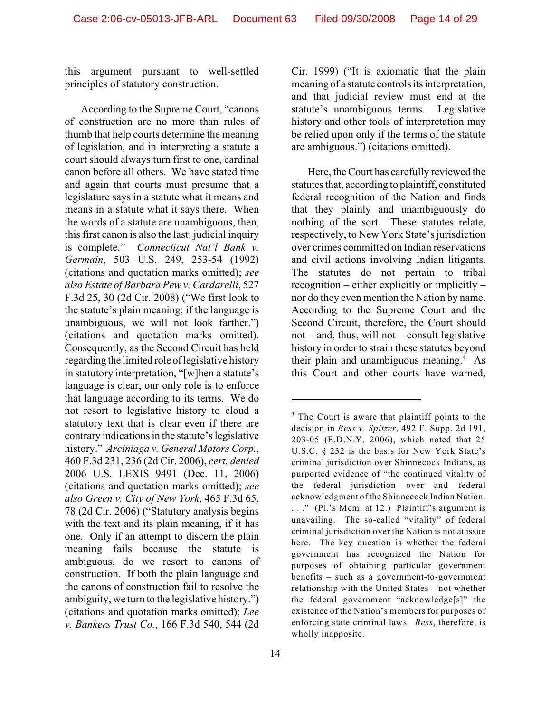this argument pursuant to well-settled principles of statutory construction.

According to the Supreme Court, "canons of construction are no more than rules of thumb that help courts determine the meaning of legislation, and in interpreting a statute a court should always turn first to one, cardinal canon before all others. We have stated time and again that courts must presume that a legislature says in a statute what it means and means in a statute what it says there. When the words of a statute are unambiguous, then, this first canon is also the last: judicial inquiry is complete." *Connecticut Nat'l Bank v. Germain*, 503 U.S. 249, 253-54 (1992) (citations and quotation marks omitted); *see also Estate of Barbara Pew v. Cardarelli*, 527 F.3d 25, 30 (2d Cir. 2008) ("We first look to the statute's plain meaning; if the language is unambiguous, we will not look farther.") (citations and quotation marks omitted). Consequently, as the Second Circuit has held regarding the limited role of legislative history in statutory interpretation, "[w]hen a statute's language is clear, our only role is to enforce that language according to its terms. We do not resort to legislative history to cloud a statutory text that is clear even if there are contrary indications in the statute's legislative history." *Arciniaga v. General Motors Corp.*, 460 F.3d 231, 236 (2d Cir. 2006), *cert. denied* 2006 U.S. LEXIS 9491 (Dec. 11, 2006) (citations and quotation marks omitted); *see also Green v. City of New York*, 465 F.3d 65, 78 (2d Cir. 2006) ("Statutory analysis begins with the text and its plain meaning, if it has one. Only if an attempt to discern the plain meaning fails because the statute is ambiguous, do we resort to canons of construction. If both the plain language and the canons of construction fail to resolve the ambiguity, we turn to the legislative history.") (citations and quotation marks omitted); *Lee v. Bankers Trust Co.*, 166 F.3d 540, 544 (2d

14

Cir. 1999) ("It is axiomatic that the plain meaning of a statute controls its interpretation, and that judicial review must end at the statute's unambiguous terms. Legislative history and other tools of interpretation may be relied upon only if the terms of the statute are ambiguous.") (citations omitted).

Here, the Court has carefully reviewed the statutes that, according to plaintiff, constituted federal recognition of the Nation and finds that they plainly and unambiguously do nothing of the sort. These statutes relate, respectively, to New York State's jurisdiction over crimes committed on Indian reservations and civil actions involving Indian litigants. The statutes do not pertain to tribal recognition – either explicitly or implicitly – nor do they even mention the Nation by name. According to the Supreme Court and the Second Circuit, therefore, the Court should not – and, thus, will not – consult legislative history in order to strain these statutes beyond their plain and unambiguous meaning. $4$  As this Court and other courts have warned,

 $4$  The Court is aware that plaintiff points to the decision in *Bess v. Spitzer*, 492 F. Supp. 2d 191, 203-05 (E.D.N.Y. 2006), which noted that 25 U.S.C. § 232 is the basis for New York State's criminal jurisdiction over Shinnecock Indians, as purported evidence of "the continued vitality of the federal jurisdiction over and federal acknowledgment of the Shinnecock Indian Nation. . . ." (Pl.'s Mem. at 12.) Plaintiff's argument is unavailing. The so-called "vitality" of federal criminal jurisdiction over the Nation is not at issue here. The key question is whether the federal government has recognized the Nation for purposes of obtaining particular government benefits – such as a government-to-government relationship with the United States – not whether the federal government "acknowledge[s]" the existence of the Nation's members for purposes of enforcing state criminal laws. *Bess*, therefore, is wholly inapposite.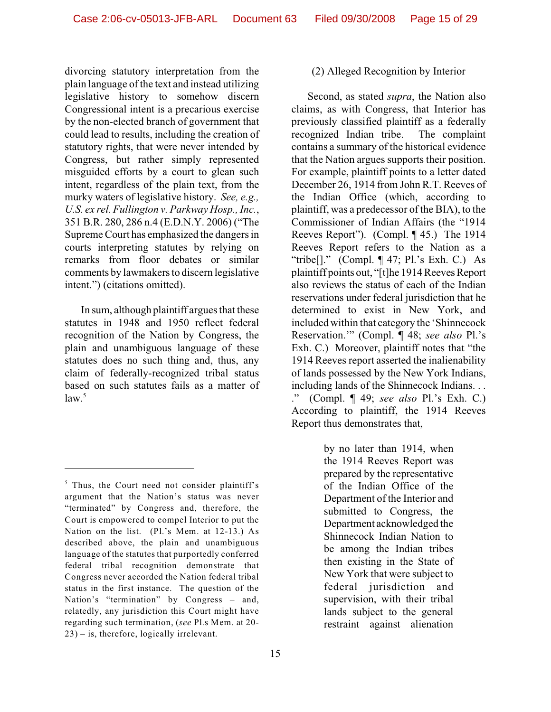divorcing statutory interpretation from the plain language of the text and instead utilizing legislative history to somehow discern Congressional intent is a precarious exercise by the non-elected branch of government that could lead to results, including the creation of statutory rights, that were never intended by Congress, but rather simply represented misguided efforts by a court to glean such intent, regardless of the plain text, from the murky waters of legislative history. *See, e.g., U.S. ex rel. Fullington v. Parkway Hosp., Inc.*, 351 B.R. 280, 286 n.4 (E.D.N.Y. 2006) ("The Supreme Court has emphasized the dangers in courts interpreting statutes by relying on remarks from floor debates or similar comments by lawmakers to discern legislative intent.") (citations omitted).

In sum, although plaintiff argues that these statutes in 1948 and 1950 reflect federal recognition of the Nation by Congress, the plain and unambiguous language of these statutes does no such thing and, thus, any claim of federally-recognized tribal status based on such statutes fails as a matter of  $law<sup>5</sup>$ 

### (2) Alleged Recognition by Interior

Second, as stated *supra*, the Nation also claims, as with Congress, that Interior has previously classified plaintiff as a federally recognized Indian tribe. The complaint contains a summary of the historical evidence that the Nation argues supports their position. For example, plaintiff points to a letter dated December 26, 1914 from John R.T. Reeves of the Indian Office (which, according to plaintiff, was a predecessor of the BIA), to the Commissioner of Indian Affairs (the "1914 Reeves Report"). (Compl. ¶ 45.) The 1914 Reeves Report refers to the Nation as a "tribe $[]$ ." (Compl.  $\P$  47; Pl.'s Exh. C.) As plaintiff points out, "[t]he 1914 Reeves Report also reviews the status of each of the Indian reservations under federal jurisdiction that he determined to exist in New York, and included within that category the 'Shinnecock Reservation.'" (Compl. ¶ 48; *see also* Pl.'s Exh. C.) Moreover, plaintiff notes that "the 1914 Reeves report asserted the inalienability of lands possessed by the New York Indians, including lands of the Shinnecock Indians. . . ." (Compl. ¶ 49; *see also* Pl.'s Exh. C.) According to plaintiff, the 1914 Reeves Report thus demonstrates that,

> by no later than 1914, when the 1914 Reeves Report was prepared by the representative of the Indian Office of the Department of the Interior and submitted to Congress, the Department acknowledged the Shinnecock Indian Nation to be among the Indian tribes then existing in the State of New York that were subject to federal jurisdiction and supervision, with their tribal lands subject to the general restraint against alienation

 $<sup>5</sup>$  Thus, the Court need not consider plaintiff's</sup> argument that the Nation's status was never "terminated" by Congress and, therefore, the Court is empowered to compel Interior to put the Nation on the list. (Pl.'s Mem. at 12-13.) As described above, the plain and unambiguous language of the statutes that purportedly conferred federal tribal recognition demonstrate that Congress never accorded the Nation federal tribal status in the first instance. The question of the Nation's "termination" by Congress – and, relatedly, any jurisdiction this Court might have regarding such termination, (*see* Pl.s Mem. at 20- 23) – is, therefore, logically irrelevant.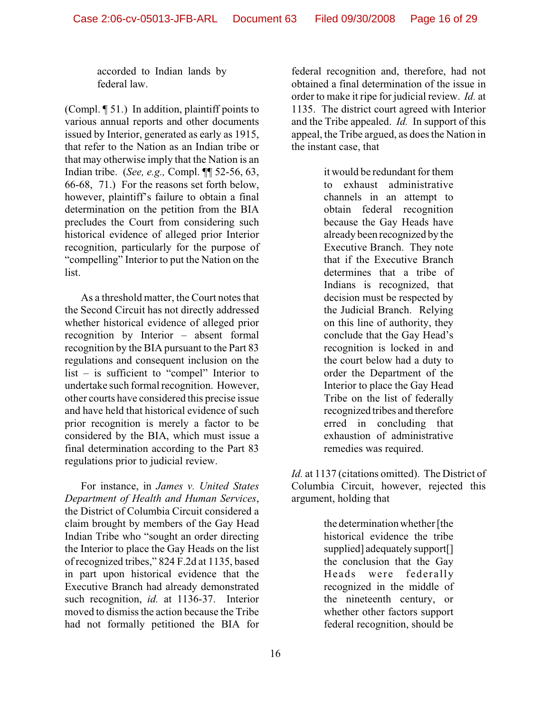accorded to Indian lands by federal law.

(Compl. ¶ 51.) In addition, plaintiff points to various annual reports and other documents issued by Interior, generated as early as 1915, that refer to the Nation as an Indian tribe or that may otherwise imply that the Nation is an Indian tribe. (*See, e.g.,* Compl. ¶¶ 52-56, 63, 66-68, 71.) For the reasons set forth below, however, plaintiff's failure to obtain a final determination on the petition from the BIA precludes the Court from considering such historical evidence of alleged prior Interior recognition, particularly for the purpose of "compelling" Interior to put the Nation on the list.

As a threshold matter, the Court notes that the Second Circuit has not directly addressed whether historical evidence of alleged prior recognition by Interior – absent formal recognition by the BIA pursuant to the Part 83 regulations and consequent inclusion on the list – is sufficient to "compel" Interior to undertake such formal recognition. However, other courts have considered this precise issue and have held that historical evidence of such prior recognition is merely a factor to be considered by the BIA, which must issue a final determination according to the Part 83 regulations prior to judicial review.

For instance, in *James v. United States Department of Health and Human Services*, the District of Columbia Circuit considered a claim brought by members of the Gay Head Indian Tribe who "sought an order directing the Interior to place the Gay Heads on the list of recognized tribes," 824 F.2d at 1135, based in part upon historical evidence that the Executive Branch had already demonstrated such recognition, *id.* at 1136-37. Interior moved to dismiss the action because the Tribe had not formally petitioned the BIA for federal recognition and, therefore, had not obtained a final determination of the issue in order to make it ripe for judicial review. *Id.* at 1135. The district court agreed with Interior and the Tribe appealed. *Id.* In support of this appeal, the Tribe argued, as does the Nation in the instant case, that

> it would be redundant for them to exhaust administrative channels in an attempt to obtain federal recognition because the Gay Heads have already been recognized by the Executive Branch. They note that if the Executive Branch determines that a tribe of Indians is recognized, that decision must be respected by the Judicial Branch. Relying on this line of authority, they conclude that the Gay Head's recognition is locked in and the court below had a duty to order the Department of the Interior to place the Gay Head Tribe on the list of federally recognized tribes and therefore erred in concluding that exhaustion of administrative remedies was required.

*Id.* at 1137 (citations omitted). The District of Columbia Circuit, however, rejected this argument, holding that

> the determination whether [the historical evidence the tribe supplied] adequately support[] the conclusion that the Gay Heads were federally recognized in the middle of the nineteenth century, or whether other factors support federal recognition, should be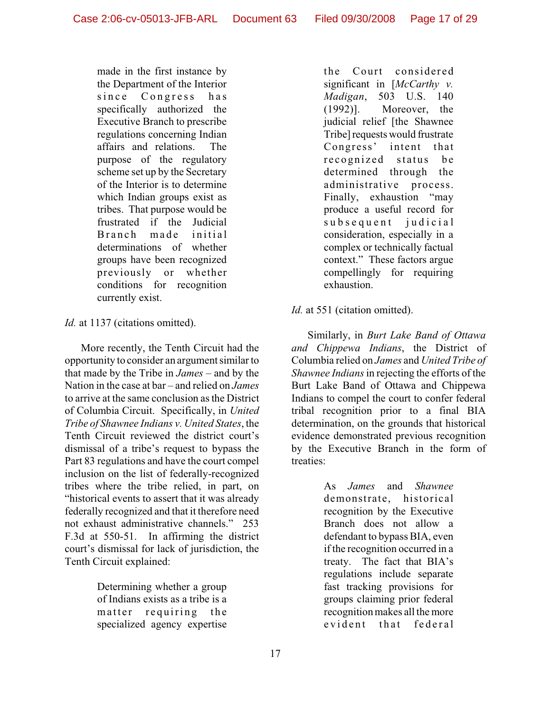made in the first instance by the Department of the Interior since Congress has specifically authorized the Executive Branch to prescribe regulations concerning Indian affairs and relations. The purpose of the regulatory scheme set up by the Secretary of the Interior is to determine which Indian groups exist as tribes. That purpose would be frustrated if the Judicial Branch made initial determinations of whether groups have been recognized previously or whether conditions for recognition currently exist.

*Id.* at 1137 (citations omitted).

More recently, the Tenth Circuit had the opportunity to consider an argument similar to that made by the Tribe in *James* – and by the Nation in the case at bar – and relied on *James* to arrive at the same conclusion as the District of Columbia Circuit. Specifically, in *United Tribe of Shawnee Indians v. United States*, the Tenth Circuit reviewed the district court's dismissal of a tribe's request to bypass the Part 83 regulations and have the court compel inclusion on the list of federally-recognized tribes where the tribe relied, in part, on "historical events to assert that it was already federally recognized and that it therefore need not exhaust administrative channels." 253 F.3d at 550-51. In affirming the district court's dismissal for lack of jurisdiction, the Tenth Circuit explained:

> Determining whether a group of Indians exists as a tribe is a matter requiring the specialized agency expertise

the Court considered significant in [*McCarthy v. Madigan*, 503 U.S. 140 (1992)]. Moreover, the judicial relief [the Shawnee Tribe] requests would frustrate Congress' intent that recognized status be determined through the administrative process. Finally, exhaustion "may produce a useful record for subsequent judicial consideration, especially in a complex or technically factual context." These factors argue compellingly for requiring exhaustion.

# *Id.* at 551 (citation omitted).

Similarly, in *Burt Lake Band of Ottawa and Chippewa Indians*, the District of Columbia relied on *James* and *United Tribe of Shawnee Indians* in rejecting the efforts of the Burt Lake Band of Ottawa and Chippewa Indians to compel the court to confer federal tribal recognition prior to a final BIA determination, on the grounds that historical evidence demonstrated previous recognition by the Executive Branch in the form of treaties:

> As *James* and *Shawnee* demonstrate, historical recognition by the Executive Branch does not allow a defendant to bypass BIA, even if the recognition occurred in a treaty. The fact that BIA's regulations include separate fast tracking provisions for groups claiming prior federal recognition makes all the more evident that federal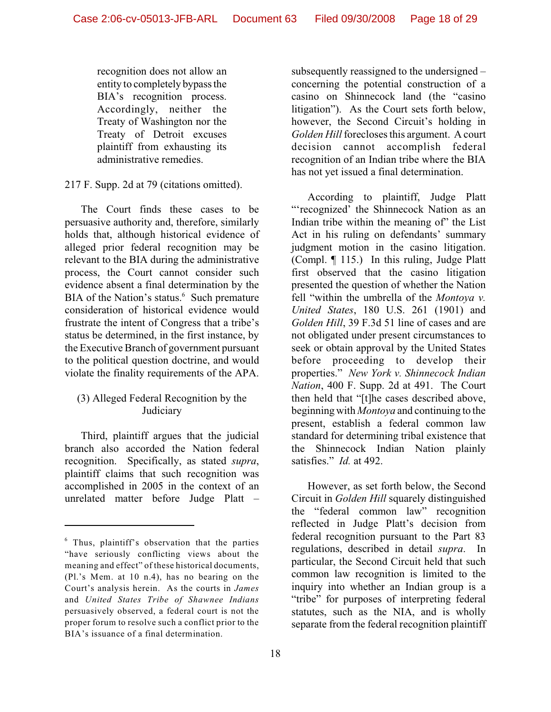recognition does not allow an entity to completely bypass the BIA's recognition process. Accordingly, neither the Treaty of Washington nor the Treaty of Detroit excuses plaintiff from exhausting its administrative remedies.

217 F. Supp. 2d at 79 (citations omitted).

The Court finds these cases to be persuasive authority and, therefore, similarly holds that, although historical evidence of alleged prior federal recognition may be relevant to the BIA during the administrative process, the Court cannot consider such evidence absent a final determination by the BIA of the Nation's status.<sup>6</sup> Such premature consideration of historical evidence would frustrate the intent of Congress that a tribe's status be determined, in the first instance, by the Executive Branch of government pursuant to the political question doctrine, and would violate the finality requirements of the APA.

# (3) Alleged Federal Recognition by the Judiciary

Third, plaintiff argues that the judicial branch also accorded the Nation federal recognition. Specifically, as stated *supra*, plaintiff claims that such recognition was accomplished in 2005 in the context of an unrelated matter before Judge Platt – subsequently reassigned to the undersigned – concerning the potential construction of a casino on Shinnecock land (the "casino litigation"). As the Court sets forth below, however, the Second Circuit's holding in *Golden Hill* forecloses this argument. A court decision cannot accomplish federal recognition of an Indian tribe where the BIA has not yet issued a final determination.

According to plaintiff, Judge Platt "'recognized' the Shinnecock Nation as an Indian tribe within the meaning of" the List Act in his ruling on defendants' summary judgment motion in the casino litigation. (Compl. ¶ 115.) In this ruling, Judge Platt first observed that the casino litigation presented the question of whether the Nation fell "within the umbrella of the *Montoya v. United States*, 180 U.S. 261 (1901) and *Golden Hill*, 39 F.3d 51 line of cases and are not obligated under present circumstances to seek or obtain approval by the United States before proceeding to develop their properties." *New York v. Shinnecock Indian Nation*, 400 F. Supp. 2d at 491. The Court then held that "[t]he cases described above, beginning with *Montoya* and continuing to the present, establish a federal common law standard for determining tribal existence that the Shinnecock Indian Nation plainly satisfies." *Id.* at 492.

However, as set forth below, the Second Circuit in *Golden Hill* squarely distinguished the "federal common law" recognition reflected in Judge Platt's decision from federal recognition pursuant to the Part 83 regulations, described in detail *supra*. In particular, the Second Circuit held that such common law recognition is limited to the inquiry into whether an Indian group is a "tribe" for purposes of interpreting federal statutes, such as the NIA, and is wholly separate from the federal recognition plaintiff

 $6$  Thus, plaintiff's observation that the parties "have seriously conflicting views about the meaning and effect" of these historical documents, (Pl.'s Mem. at 10 n.4), has no bearing on the Court's analysis herein. As the courts in *James* and *United States Tribe of Shawnee Indians* persuasively observed, a federal court is not the proper forum to resolve such a conflict prior to the BIA's issuance of a final determination.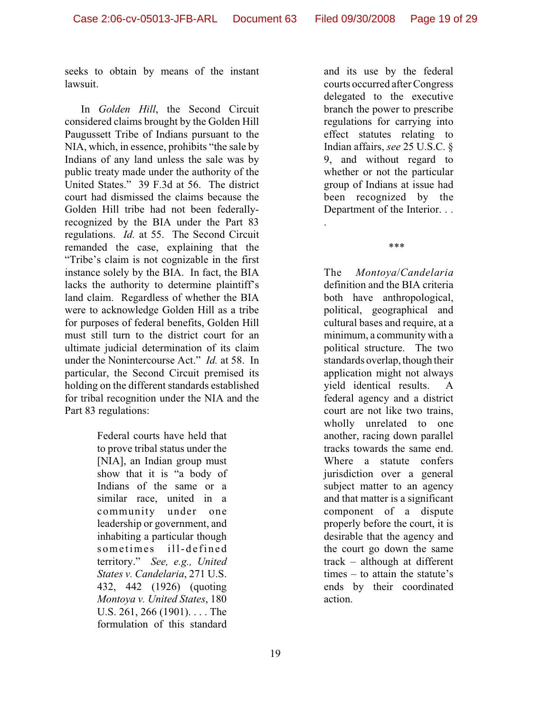seeks to obtain by means of the instant lawsuit.

In *Golden Hill*, the Second Circuit considered claims brought by the Golden Hill Paugussett Tribe of Indians pursuant to the NIA, which, in essence, prohibits "the sale by Indians of any land unless the sale was by public treaty made under the authority of the United States." 39 F.3d at 56. The district court had dismissed the claims because the Golden Hill tribe had not been federallyrecognized by the BIA under the Part 83 regulations. *Id.* at 55. The Second Circuit remanded the case, explaining that the "Tribe's claim is not cognizable in the first instance solely by the BIA. In fact, the BIA lacks the authority to determine plaintiff's land claim. Regardless of whether the BIA were to acknowledge Golden Hill as a tribe for purposes of federal benefits, Golden Hill must still turn to the district court for an ultimate judicial determination of its claim under the Nonintercourse Act." *Id.* at 58. In particular, the Second Circuit premised its holding on the different standards established for tribal recognition under the NIA and the Part 83 regulations:

> Federal courts have held that to prove tribal status under the [NIA], an Indian group must show that it is "a body of Indians of the same or a similar race, united in a community under one leadership or government, and inhabiting a particular though sometimes ill-defined territory." *See, e.g., United States v. Candelaria*, 271 U.S. 432, 442 (1926) (quoting *Montoya v. United States*, 180 U.S. 261, 266 (1901). . . . The formulation of this standard

and its use by the federal courts occurred after Congress delegated to the executive branch the power to prescribe regulations for carrying into effect statutes relating to Indian affairs, *see* 25 U.S.C. § 9, and without regard to whether or not the particular group of Indians at issue had been recognized by the Department of the Interior. . .

\*\*\*

.

The *Montoya*/*Candelaria* definition and the BIA criteria both have anthropological, political, geographical and cultural bases and require, at a minimum, a community with a political structure. The two standards overlap, though their application might not always yield identical results. A federal agency and a district court are not like two trains, wholly unrelated to one another, racing down parallel tracks towards the same end. Where a statute confers jurisdiction over a general subject matter to an agency and that matter is a significant component of a dispute properly before the court, it is desirable that the agency and the court go down the same track – although at different times – to attain the statute's ends by their coordinated action.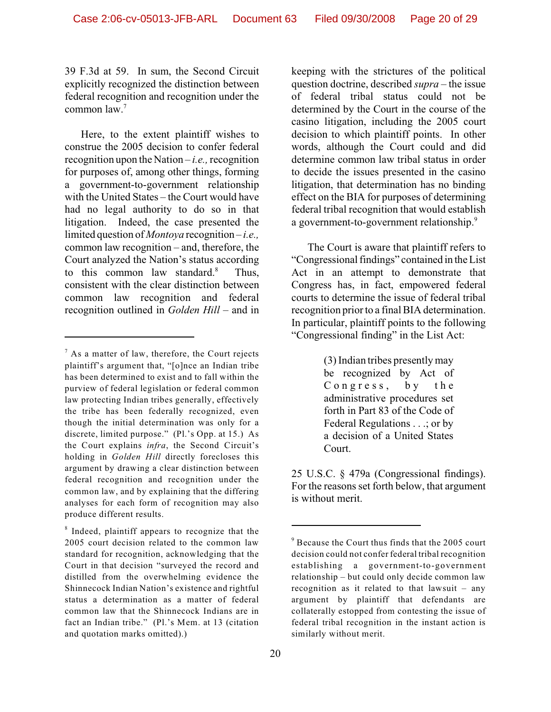39 F.3d at 59. In sum, the Second Circuit explicitly recognized the distinction between federal recognition and recognition under the common law. 7

Here, to the extent plaintiff wishes to construe the 2005 decision to confer federal recognition upon the Nation – *i.e.,* recognition for purposes of, among other things, forming a government-to-government relationship with the United States – the Court would have had no legal authority to do so in that litigation. Indeed, the case presented the limited question of *Montoya* recognition – *i.e.,* common law recognition – and, therefore, the Court analyzed the Nation's status according to this common law standard. $8$  Thus, consistent with the clear distinction between common law recognition and federal recognition outlined in *Golden Hill* – and in keeping with the strictures of the political question doctrine, described *supra* – the issue of federal tribal status could not be determined by the Court in the course of the casino litigation, including the 2005 court decision to which plaintiff points. In other words, although the Court could and did determine common law tribal status in order to decide the issues presented in the casino litigation, that determination has no binding effect on the BIA for purposes of determining federal tribal recognition that would establish a government-to-government relationship.<sup>9</sup>

The Court is aware that plaintiff refers to "Congressional findings" contained in the List Act in an attempt to demonstrate that Congress has, in fact, empowered federal courts to determine the issue of federal tribal recognition prior to a final BIA determination. In particular, plaintiff points to the following "Congressional finding" in the List Act:

> (3) Indian tribes presently may be recognized by Act of Congress, by the administrative procedures set forth in Part 83 of the Code of Federal Regulations . . .; or by a decision of a United States Court.

25 U.S.C. § 479a (Congressional findings). For the reasons set forth below, that argument is without merit.

 $\alpha$ <sup>7</sup> As a matter of law, therefore, the Court rejects plaintiff's argument that, "[o]nce an Indian tribe has been determined to exist and to fall within the purview of federal legislation or federal common law protecting Indian tribes generally, effectively the tribe has been federally recognized, even though the initial determination was only for a discrete, limited purpose." (Pl.'s Opp. at 15.) As the Court explains *infra*, the Second Circuit's holding in *Golden Hill* directly forecloses this argument by drawing a clear distinction between federal recognition and recognition under the common law, and by explaining that the differing analyses for each form of recognition may also produce different results.

 $\delta$  Indeed, plaintiff appears to recognize that the 2005 court decision related to the common law standard for recognition, acknowledging that the Court in that decision "surveyed the record and distilled from the overwhelming evidence the Shinnecock Indian Nation's existence and rightful status a determination as a matter of federal common law that the Shinnecock Indians are in fact an Indian tribe." (Pl.'s Mem. at 13 (citation and quotation marks omitted).)

 $9^9$  Because the Court thus finds that the 2005 court decision could not confer federal tribal recognition establishing a government-to-government relationship – but could only decide common law recognition as it related to that lawsuit – any argument by plaintiff that defendants are collaterally estopped from contesting the issue of federal tribal recognition in the instant action is similarly without merit.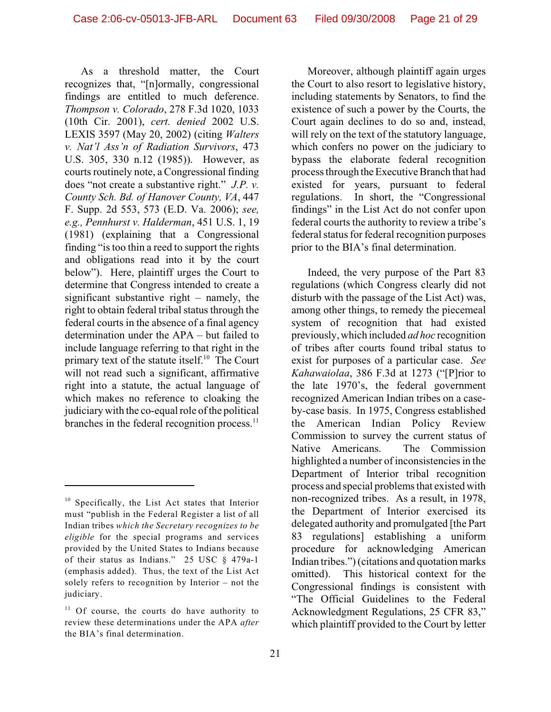As a threshold matter, the Court recognizes that, "[n]ormally, congressional findings are entitled to much deference. *Thompson v. Colorado*, 278 F.3d 1020, 1033 (10th Cir. 2001), *cert. denied* 2002 U.S. LEXIS 3597 (May 20, 2002) (citing *Walters v. Nat'l Ass'n of Radiation Survivors*, 473 U.S. 305, 330 n.12 (1985)). However, as courts routinely note, a Congressional finding does "not create a substantive right." *J.P. v. County Sch. Bd. of Hanover County, VA*, 447 F. Supp. 2d 553, 573 (E.D. Va. 2006); *see, e.g., Pennhurst v. Halderman*, 451 U.S. 1, 19 (1981) (explaining that a Congressional finding "is too thin a reed to support the rights and obligations read into it by the court below"). Here, plaintiff urges the Court to determine that Congress intended to create a significant substantive right – namely, the right to obtain federal tribal status through the federal courts in the absence of a final agency determination under the APA – but failed to include language referring to that right in the primary text of the statute itself.<sup>10</sup> The Court will not read such a significant, affirmative right into a statute, the actual language of which makes no reference to cloaking the judiciary with the co-equal role of the political branches in the federal recognition process.<sup>11</sup>

Moreover, although plaintiff again urges the Court to also resort to legislative history, including statements by Senators, to find the existence of such a power by the Courts, the Court again declines to do so and, instead, will rely on the text of the statutory language, which confers no power on the judiciary to bypass the elaborate federal recognition process through the Executive Branch that had existed for years, pursuant to federal regulations. In short, the "Congressional findings" in the List Act do not confer upon federal courts the authority to review a tribe's federal status for federal recognition purposes prior to the BIA's final determination.

Indeed, the very purpose of the Part 83 regulations (which Congress clearly did not disturb with the passage of the List Act) was, among other things, to remedy the piecemeal system of recognition that had existed previously, which included *ad hoc* recognition of tribes after courts found tribal status to exist for purposes of a particular case. *See Kahawaiolaa*, 386 F.3d at 1273 ("[P]rior to the late 1970's, the federal government recognized American Indian tribes on a caseby-case basis. In 1975, Congress established the American Indian Policy Review Commission to survey the current status of Native Americans. The Commission highlighted a number of inconsistencies in the Department of Interior tribal recognition process and special problems that existed with non-recognized tribes. As a result, in 1978, the Department of Interior exercised its delegated authority and promulgated [the Part 83 regulations] establishing a uniform procedure for acknowledging American Indian tribes.") (citations and quotation marks omitted). This historical context for the Congressional findings is consistent with "The Official Guidelines to the Federal Acknowledgment Regulations, 25 CFR 83," which plaintiff provided to the Court by letter

 $10$  Specifically, the List Act states that Interior must "publish in the Federal Register a list of all Indian tribes *which the Secretary recognizes to be eligible* for the special programs and services provided by the United States to Indians because of their status as Indians." 25 USC § 479a-1 (emphasis added). Thus, the text of the List Act solely refers to recognition by Interior – not the judiciary.

 $11$  Of course, the courts do have authority to review these determinations under the APA *after* the BIA's final determination.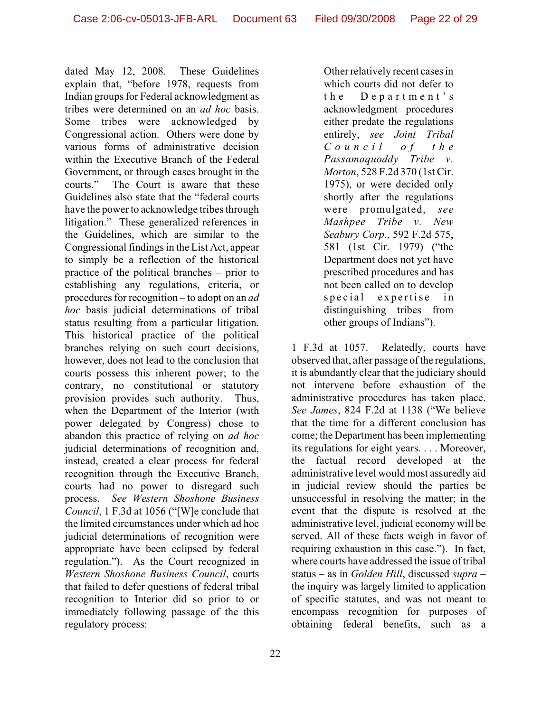dated May 12, 2008. These Guidelines explain that, "before 1978, requests from Indian groups for Federal acknowledgment as tribes were determined on an *ad hoc* basis. Some tribes were acknowledged by Congressional action. Others were done by various forms of administrative decision within the Executive Branch of the Federal Government, or through cases brought in the courts." The Court is aware that these Guidelines also state that the "federal courts have the power to acknowledge tribes through litigation." These generalized references in the Guidelines, which are similar to the Congressional findings in the List Act, appear to simply be a reflection of the historical practice of the political branches – prior to establishing any regulations, criteria, or procedures for recognition – to adopt on an *ad hoc* basis judicial determinations of tribal status resulting from a particular litigation. This historical practice of the political branches relying on such court decisions, however, does not lead to the conclusion that courts possess this inherent power; to the contrary, no constitutional or statutory provision provides such authority. Thus, when the Department of the Interior (with power delegated by Congress) chose to abandon this practice of relying on *ad hoc* judicial determinations of recognition and, instead, created a clear process for federal recognition through the Executive Branch, courts had no power to disregard such process. *See Western Shoshone Business Council*, 1 F.3d at 1056 ("[W]e conclude that the limited circumstances under which ad hoc judicial determinations of recognition were appropriate have been eclipsed by federal regulation."). As the Court recognized in *Western Shoshone Business Council*, courts that failed to defer questions of federal tribal recognition to Interior did so prior to or immediately following passage of the this regulatory process:

Other relatively recent cases in which courts did not defer to the De p a rtm e n t ' s acknowledgment procedures either predate the regulations entirely, *see Joint Tribal Council o f t h e Passamaquoddy Tribe v. Morton*, 528 F.2d 370 (1st Cir. 1975), or were decided only shortly after the regulations were promulgated, *see Mashpee Tribe v. New Seabury Corp.*, 592 F.2d 575, 581 (1st Cir. 1979) ("the Department does not yet have prescribed procedures and has not been called on to develop special expertise in distinguishing tribes from other groups of Indians").

1 F.3d at 1057. Relatedly, courts have observed that, after passage of the regulations, it is abundantly clear that the judiciary should not intervene before exhaustion of the administrative procedures has taken place. *See James*, 824 F.2d at 1138 ("We believe that the time for a different conclusion has come; the Department has been implementing its regulations for eight years. . . . Moreover, the factual record developed at the administrative level would most assuredly aid in judicial review should the parties be unsuccessful in resolving the matter; in the event that the dispute is resolved at the administrative level, judicial economy will be served. All of these facts weigh in favor of requiring exhaustion in this case."). In fact, where courts have addressed the issue of tribal status – as in *Golden Hill*, discussed *supra* – the inquiry was largely limited to application of specific statutes, and was not meant to encompass recognition for purposes of obtaining federal benefits, such as a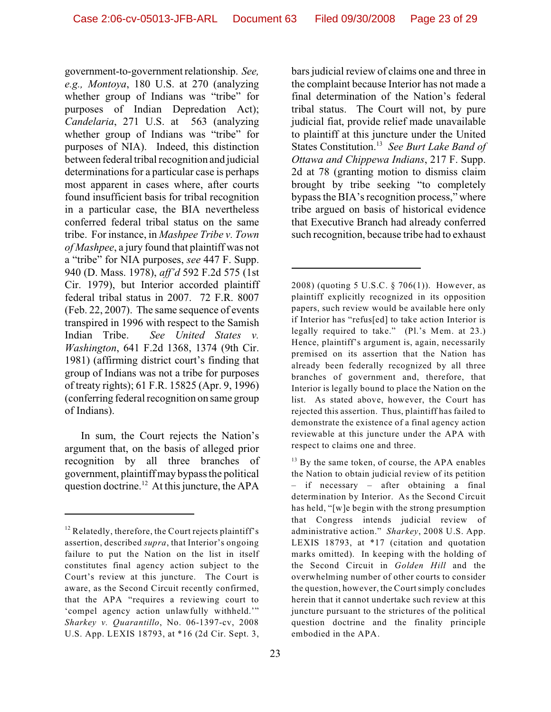government-to-government relationship. *See, e.g., Montoya*, 180 U.S. at 270 (analyzing whether group of Indians was "tribe" for purposes of Indian Depredation Act); *Candelaria*, 271 U.S. at 563 (analyzing whether group of Indians was "tribe" for purposes of NIA). Indeed, this distinction between federal tribal recognition and judicial determinations for a particular case is perhaps most apparent in cases where, after courts found insufficient basis for tribal recognition in a particular case, the BIA nevertheless conferred federal tribal status on the same tribe. For instance, in *Mashpee Tribe v. Town of Mashpee*, a jury found that plaintiff was not a "tribe" for NIA purposes, *see* 447 F. Supp. 940 (D. Mass. 1978), *aff'd* 592 F.2d 575 (1st Cir. 1979), but Interior accorded plaintiff federal tribal status in 2007. 72 F.R. 8007 (Feb. 22, 2007). The same sequence of events transpired in 1996 with respect to the Samish Indian Tribe. *See United States v. Washington*, 641 F.2d 1368, 1374 (9th Cir. 1981) (affirming district court's finding that group of Indians was not a tribe for purposes of treaty rights); 61 F.R. 15825 (Apr. 9, 1996) (conferring federal recognition on same group of Indians).

In sum, the Court rejects the Nation's argument that, on the basis of alleged prior recognition by all three branches of government, plaintiff may bypass the political question doctrine.<sup>12</sup> At this juncture, the APA

bars judicial review of claims one and three in the complaint because Interior has not made a final determination of the Nation's federal tribal status. The Court will not, by pure judicial fiat, provide relief made unavailable to plaintiff at this juncture under the United States Constitution.<sup>13</sup> See Burt Lake Band of *Ottawa and Chippewa Indians*, 217 F. Supp. 2d at 78 (granting motion to dismiss claim brought by tribe seeking "to completely bypass the BIA's recognition process," where tribe argued on basis of historical evidence that Executive Branch had already conferred such recognition, because tribe had to exhaust

 $12$  Relatedly, therefore, the Court rejects plaintiff's assertion, described *supra*, that Interior's ongoing failure to put the Nation on the list in itself constitutes final agency action subject to the Court's review at this juncture. The Court is aware, as the Second Circuit recently confirmed, that the APA "requires a reviewing court to 'compel agency action unlawfully withheld.'" *Sharkey v. Quarantillo*, No. 06-1397-cv, 2008 U.S. App. LEXIS 18793, at \*16 (2d Cir. Sept. 3,

<sup>2008) (</sup>quoting 5 U.S.C. § 706(1)). However, as plaintiff explicitly recognized in its opposition papers, such review would be available here only if Interior has "refus[ed] to take action Interior is legally required to take."(Pl.'s Mem. at 23.) Hence, plaintiff's argument is, again, necessarily premised on its assertion that the Nation has already been federally recognized by all three branches of government and, therefore, that Interior is legally bound to place the Nation on the list. As stated above, however, the Court has rejected this assertion. Thus, plaintiff has failed to demonstrate the existence of a final agency action reviewable at this juncture under the APA with respect to claims one and three.

 $^{13}$  By the same token, of course, the APA enables the Nation to obtain judicial review of its petition – if necessary – after obtaining a final determination by Interior. As the Second Circuit has held, "[w]e begin with the strong presumption that Congress intends judicial review of administrative action." *Sharkey*, 2008 U.S. App. LEXIS 18793, at \*17 (citation and quotation marks omitted). In keeping with the holding of the Second Circuit in *Golden Hill* and the overwhelming number of other courts to consider the question, however, the Court simply concludes herein that it cannot undertake such review at this juncture pursuant to the strictures of the political question doctrine and the finality principle embodied in the APA.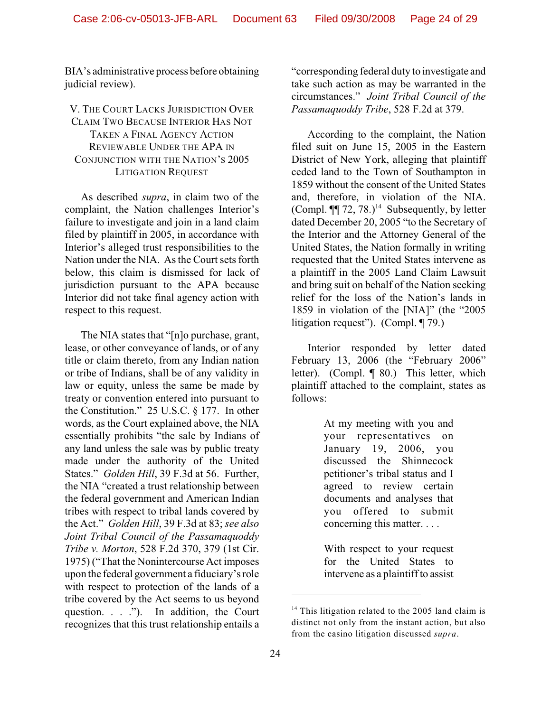BIA's administrative process before obtaining judicial review).

# V. THE COURT LACKS JURISDICTION OVER CLAIM TWO BECAUSE INTERIOR HAS NOT TAKEN A FINAL AGENCY ACTION REVIEWABLE UNDER THE APA IN CONJUNCTION WITH THE NATION'S 2005 LITIGATION REQUEST

As described *supra*, in claim two of the complaint, the Nation challenges Interior's failure to investigate and join in a land claim filed by plaintiff in 2005, in accordance with Interior's alleged trust responsibilities to the Nation under the NIA. As the Court sets forth below, this claim is dismissed for lack of jurisdiction pursuant to the APA because Interior did not take final agency action with respect to this request.

The NIA states that "[n]o purchase, grant, lease, or other conveyance of lands, or of any title or claim thereto, from any Indian nation or tribe of Indians, shall be of any validity in law or equity, unless the same be made by treaty or convention entered into pursuant to the Constitution." 25 U.S.C. § 177. In other words, as the Court explained above, the NIA essentially prohibits "the sale by Indians of any land unless the sale was by public treaty made under the authority of the United States." *Golden Hill*, 39 F.3d at 56. Further, the NIA "created a trust relationship between the federal government and American Indian tribes with respect to tribal lands covered by the Act." *Golden Hill*, 39 F.3d at 83; *see also Joint Tribal Council of the Passamaquoddy Tribe v. Morton*, 528 F.2d 370, 379 (1st Cir. 1975) ("That the Nonintercourse Act imposes upon the federal government a fiduciary's role with respect to protection of the lands of a tribe covered by the Act seems to us beyond question. . . ."). In addition, the Court recognizes that this trust relationship entails a "corresponding federal duty to investigate and take such action as may be warranted in the circumstances." *Joint Tribal Council of the Passamaquoddy Tribe*, 528 F.2d at 379.

According to the complaint, the Nation filed suit on June 15, 2005 in the Eastern District of New York, alleging that plaintiff ceded land to the Town of Southampton in 1859 without the consent of the United States and, therefore, in violation of the NIA. (Compl.  $\P$ [ 72, 78.)<sup>14</sup> Subsequently, by letter dated December 20, 2005 "to the Secretary of the Interior and the Attorney General of the United States, the Nation formally in writing requested that the United States intervene as a plaintiff in the 2005 Land Claim Lawsuit and bring suit on behalf of the Nation seeking relief for the loss of the Nation's lands in 1859 in violation of the [NIA]" (the "2005 litigation request"). (Compl. ¶ 79.)

Interior responded by letter dated February 13, 2006 (the "February 2006" letter). (Compl. ¶ 80.) This letter, which plaintiff attached to the complaint, states as follows:

> At my meeting with you and your representatives on January 19, 2006, you discussed the Shinnecock petitioner's tribal status and I agreed to review certain documents and analyses that you offered to submit concerning this matter. . . .

With respect to your request for the United States to intervene as a plaintiff to assist

 $14$  This litigation related to the 2005 land claim is distinct not only from the instant action, but also from the casino litigation discussed *supra*.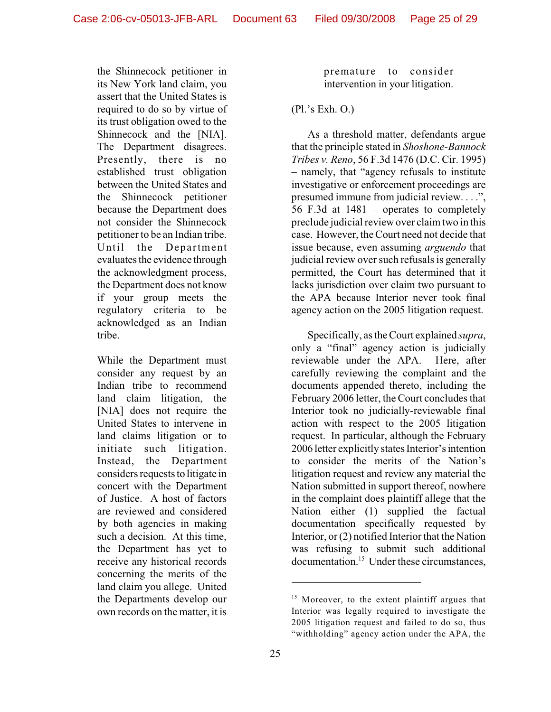the Shinnecock petitioner in its New York land claim, you assert that the United States is required to do so by virtue of its trust obligation owed to the Shinnecock and the [NIA]. The Department disagrees. Presently, there is no established trust obligation between the United States and the Shinnecock petitioner because the Department does not consider the Shinnecock petitioner to be an Indian tribe. Until the Department evaluates the evidence through the acknowledgment process, the Department does not know if your group meets the regulatory criteria to be acknowledged as an Indian tribe.

While the Department must consider any request by an Indian tribe to recommend land claim litigation, the [NIA] does not require the United States to intervene in land claims litigation or to initiate such litigation. Instead, the Department considers requests to litigate in concert with the Department of Justice. A host of factors are reviewed and considered by both agencies in making such a decision. At this time, the Department has yet to receive any historical records concerning the merits of the land claim you allege. United the Departments develop our own records on the matter, it is

premature to consider intervention in your litigation.

#### (Pl.'s Exh. O.)

As a threshold matter, defendants argue that the principle stated in *Shoshone-Bannock Tribes v. Reno*, 56 F.3d 1476 (D.C. Cir. 1995) – namely, that "agency refusals to institute investigative or enforcement proceedings are presumed immune from judicial review. . . .", 56 F.3d at 1481 – operates to completely preclude judicial review over claim two in this case. However, the Court need not decide that issue because, even assuming *arguendo* that judicial review over such refusals is generally permitted, the Court has determined that it lacks jurisdiction over claim two pursuant to the APA because Interior never took final agency action on the 2005 litigation request.

Specifically, as the Court explained *supra*, only a "final" agency action is judicially reviewable under the APA. Here, after carefully reviewing the complaint and the documents appended thereto, including the February 2006 letter, the Court concludes that Interior took no judicially-reviewable final action with respect to the 2005 litigation request. In particular, although the February 2006 letter explicitly states Interior's intention to consider the merits of the Nation's litigation request and review any material the Nation submitted in support thereof, nowhere in the complaint does plaintiff allege that the Nation either (1) supplied the factual documentation specifically requested by Interior, or (2) notified Interior that the Nation was refusing to submit such additional documentation.<sup>15</sup> Under these circumstances,

 $15$  Moreover, to the extent plaintiff argues that Interior was legally required to investigate the 2005 litigation request and failed to do so, thus "withholding" agency action under the APA, the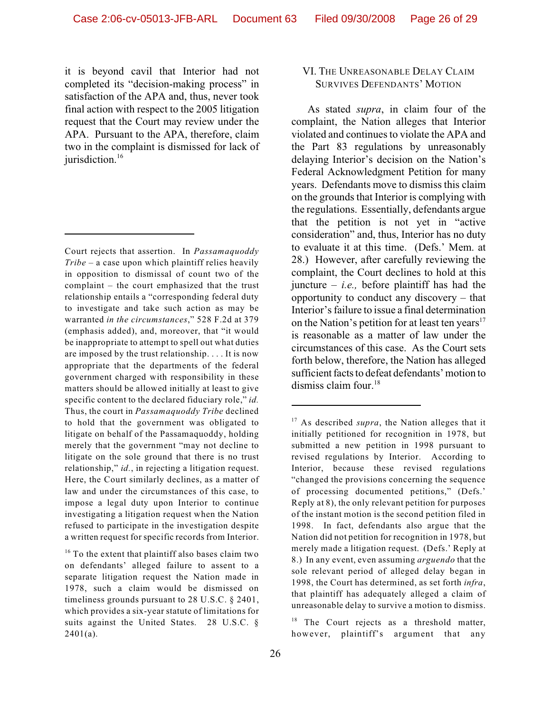it is beyond cavil that Interior had not completed its "decision-making process" in satisfaction of the APA and, thus, never took final action with respect to the 2005 litigation request that the Court may review under the APA. Pursuant to the APA, therefore, claim two in the complaint is dismissed for lack of jurisdiction.<sup>16</sup>

Court rejects that assertion. In *Passamaquoddy Tribe* – a case upon which plaintiff relies heavily in opposition to dismissal of count two of the complaint – the court emphasized that the trust relationship entails a "corresponding federal duty to investigate and take such action as may be warranted *in the circumstances*," 528 F.2d at 379 (emphasis added), and, moreover, that "it would be inappropriate to attempt to spell out what duties are imposed by the trust relationship. . . . It is now appropriate that the departments of the federal government charged with responsibility in these matters should be allowed initially at least to give specific content to the declared fiduciary role," *id.* Thus, the court in *Passamaquoddy Tribe* declined to hold that the government was obligated to litigate on behalf of the Passamaquoddy, holding merely that the government "may not decline to litigate on the sole ground that there is no trust relationship," *id.*, in rejecting a litigation request. Here, the Court similarly declines, as a matter of law and under the circumstances of this case, to impose a legal duty upon Interior to continue investigating a litigation request when the Nation refused to participate in the investigation despite a written request for specific records from Interior.

 $16$  To the extent that plaintiff also bases claim two on defendants' alleged failure to assent to a separate litigation request the Nation made in 1978, such a claim would be dismissed on timeliness grounds pursuant to 28 U.S.C. § 2401, which provides a six-year statute of limitations for suits against the United States. 28 U.S.C. §  $2401(a)$ .

## VI. THE UNREASONABLE DELAY CLAIM SURVIVES DEFENDANTS' MOTION

As stated *supra*, in claim four of the complaint, the Nation alleges that Interior violated and continues to violate the APA and the Part 83 regulations by unreasonably delaying Interior's decision on the Nation's Federal Acknowledgment Petition for many years. Defendants move to dismiss this claim on the grounds that Interior is complying with the regulations. Essentially, defendants argue that the petition is not yet in "active consideration" and, thus, Interior has no duty to evaluate it at this time. (Defs.' Mem. at 28.) However, after carefully reviewing the complaint, the Court declines to hold at this juncture  $-$  *i.e.*, before plaintiff has had the opportunity to conduct any discovery – that Interior's failure to issue a final determination on the Nation's petition for at least ten years $17$ is reasonable as a matter of law under the circumstances of this case. As the Court sets forth below, therefore, the Nation has alleged sufficient facts to defeat defendants' motion to dismiss claim four.<sup>18</sup>

 $18$  The Court rejects as a threshold matter, however, plaintiff's argument that any

 $17$  As described *supra*, the Nation alleges that it initially petitioned for recognition in 1978, but submitted a new petition in 1998 pursuant to revised regulations by Interior. According to Interior, because these revised regulations "changed the provisions concerning the sequence of processing documented petitions," (Defs.' Reply at 8), the only relevant petition for purposes of the instant motion is the second petition filed in 1998. In fact, defendants also argue that the Nation did not petition for recognition in 1978, but merely made a litigation request. (Defs.' Reply at 8.) In any event, even assuming *arguendo* that the sole relevant period of alleged delay began in 1998, the Court has determined, as set forth *infra*, that plaintiff has adequately alleged a claim of unreasonable delay to survive a motion to dismiss.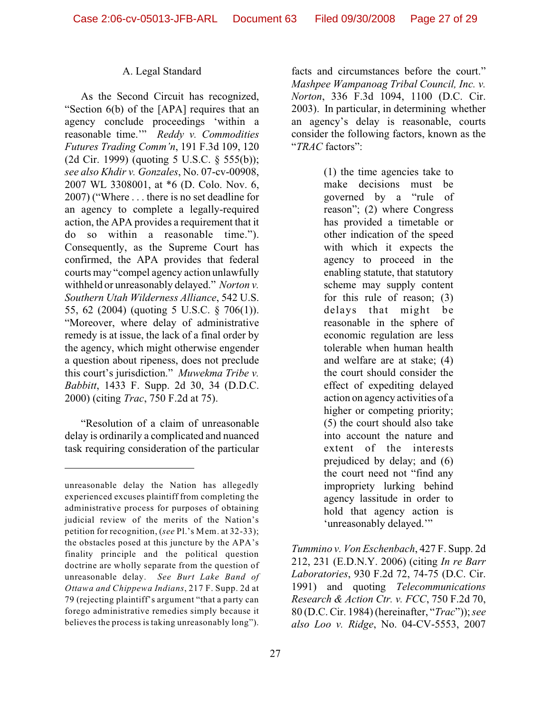#### A. Legal Standard

As the Second Circuit has recognized, "Section 6(b) of the [APA] requires that an agency conclude proceedings 'within a reasonable time.'" *Reddy v. Commodities Futures Trading Comm'n*, 191 F.3d 109, 120 (2d Cir. 1999) (quoting 5 U.S.C. § 555(b)); *see also Khdir v. Gonzales*, No. 07-cv-00908, 2007 WL 3308001, at \*6 (D. Colo. Nov. 6, 2007) ("Where . . . there is no set deadline for an agency to complete a legally-required action, the APA provides a requirement that it do so within a reasonable time."). Consequently, as the Supreme Court has confirmed, the APA provides that federal courts may "compel agency action unlawfully withheld or unreasonably delayed." *Norton v. Southern Utah Wilderness Alliance*, 542 U.S. 55, 62 (2004) (quoting 5 U.S.C. § 706(1)). "Moreover, where delay of administrative remedy is at issue, the lack of a final order by the agency, which might otherwise engender a question about ripeness, does not preclude this court's jurisdiction." *Muwekma Tribe v. Babbitt*, 1433 F. Supp. 2d 30, 34 (D.D.C. 2000) (citing *Trac*, 750 F.2d at 75).

"Resolution of a claim of unreasonable delay is ordinarily a complicated and nuanced task requiring consideration of the particular

facts and circumstances before the court." *Mashpee Wampanoag Tribal Council, Inc. v. Norton*, 336 F.3d 1094, 1100 (D.C. Cir. 2003). In particular, in determining whether an agency's delay is reasonable, courts consider the following factors, known as the "*TRAC* factors":

> (1) the time agencies take to make decisions must be governed by a "rule of reason"; (2) where Congress has provided a timetable or other indication of the speed with which it expects the agency to proceed in the enabling statute, that statutory scheme may supply content for this rule of reason; (3) delays that might be reasonable in the sphere of economic regulation are less tolerable when human health and welfare are at stake; (4) the court should consider the effect of expediting delayed action on agency activities of a higher or competing priority; (5) the court should also take into account the nature and extent of the interests prejudiced by delay; and (6) the court need not "find any impropriety lurking behind agency lassitude in order to hold that agency action is 'unreasonably delayed.'"

*Tummino v. Von Eschenbach*, 427 F. Supp. 2d 212, 231 (E.D.N.Y. 2006) (citing *In re Barr Laboratories*, 930 F.2d 72, 74-75 (D.C. Cir. 1991) and quoting *Telecommunications Research & Action Ctr. v. FCC*, 750 F.2d 70, 80 (D.C. Cir. 1984) (hereinafter, "*Trac*")); *see also Loo v. Ridge*, No. 04-CV-5553, 2007

unreasonable delay the Nation has allegedly experienced excuses plaintiff from completing the administrative process for purposes of obtaining judicial review of the merits of the Nation's petition for recognition, (*see* Pl.'s Mem. at 32-33); the obstacles posed at this juncture by the APA's finality principle and the political question doctrine are wholly separate from the question of unreasonable delay. *See Burt Lake Band of Ottawa and Chippewa Indians*, 217 F. Supp. 2d at 79 (rejecting plaintiff's argument "that a party can forego administrative remedies simply because it believes the process is taking unreasonably long").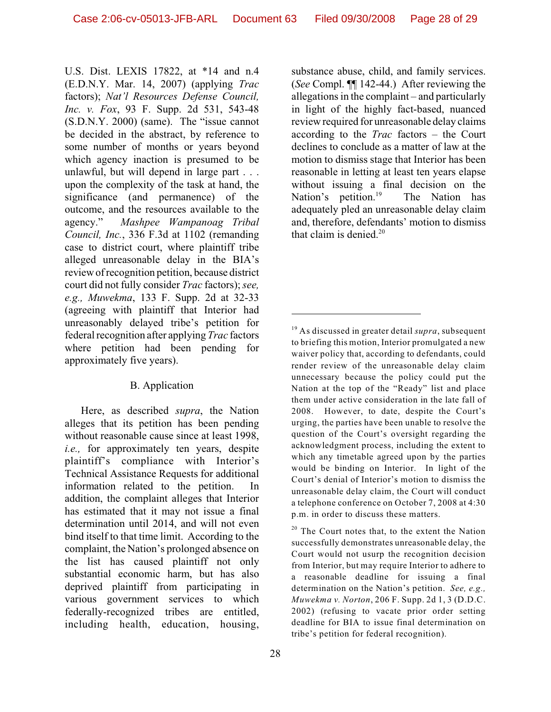U.S. Dist. LEXIS 17822, at \*14 and n.4 (E.D.N.Y. Mar. 14, 2007) (applying *Trac* factors); *Nat'l Resources Defense Council, Inc. v. Fox*, 93 F. Supp. 2d 531, 543-48 (S.D.N.Y. 2000) (same). The "issue cannot be decided in the abstract, by reference to some number of months or years beyond which agency inaction is presumed to be unlawful, but will depend in large part . . . upon the complexity of the task at hand, the significance (and permanence) of the outcome, and the resources available to the agency." *Mashpee Wampanoag Tribal Council, Inc.*, 336 F.3d at 1102 (remanding case to district court, where plaintiff tribe alleged unreasonable delay in the BIA's review of recognition petition, because district court did not fully consider *Trac* factors); *see, e.g., Muwekma*, 133 F. Supp. 2d at 32-33 (agreeing with plaintiff that Interior had unreasonably delayed tribe's petition for federal recognition after applying *Trac* factors where petition had been pending for approximately five years).

## B. Application

Here, as described *supra*, the Nation alleges that its petition has been pending without reasonable cause since at least 1998, *i.e.,* for approximately ten years, despite plaintiff's compliance with Interior's Technical Assistance Requests for additional information related to the petition. In addition, the complaint alleges that Interior has estimated that it may not issue a final determination until 2014, and will not even bind itself to that time limit. According to the complaint, the Nation's prolonged absence on the list has caused plaintiff not only substantial economic harm, but has also deprived plaintiff from participating in various government services to which federally-recognized tribes are entitled, including health, education, housing,

substance abuse, child, and family services. (*See* Compl. ¶¶ 142-44.) After reviewing the allegations in the complaint – and particularly in light of the highly fact-based, nuanced review required for unreasonable delay claims according to the *Trac* factors – the Court declines to conclude as a matter of law at the motion to dismiss stage that Interior has been reasonable in letting at least ten years elapse without issuing a final decision on the Nation's petition.<sup>19</sup> The Nation has adequately pled an unreasonable delay claim and, therefore, defendants' motion to dismiss that claim is denied. $20$ 

 $20$  The Court notes that, to the extent the Nation successfully demonstrates unreasonable delay, the Court would not usurp the recognition decision from Interior, but may require Interior to adhere to a reasonable deadline for issuing a final determination on the Nation's petition. *See, e.g., Muwekma v. Norton*, 206 F. Supp. 2d 1, 3 (D.D.C. 2002) (refusing to vacate prior order setting deadline for BIA to issue final determination on tribe's petition for federal recognition).

 $19$  As discussed in greater detail *supra*, subsequent to briefing this motion, Interior promulgated a new waiver policy that, according to defendants, could render review of the unreasonable delay claim unnecessary because the policy could put the Nation at the top of the "Ready" list and place them under active consideration in the late fall of 2008. However, to date, despite the Court's urging, the parties have been unable to resolve the question of the Court's oversight regarding the acknowledgment process, including the extent to which any timetable agreed upon by the parties would be binding on Interior. In light of the Court's denial of Interior's motion to dismiss the unreasonable delay claim, the Court will conduct a telephone conference on October 7, 2008 at 4:30 p.m. in order to discuss these matters.